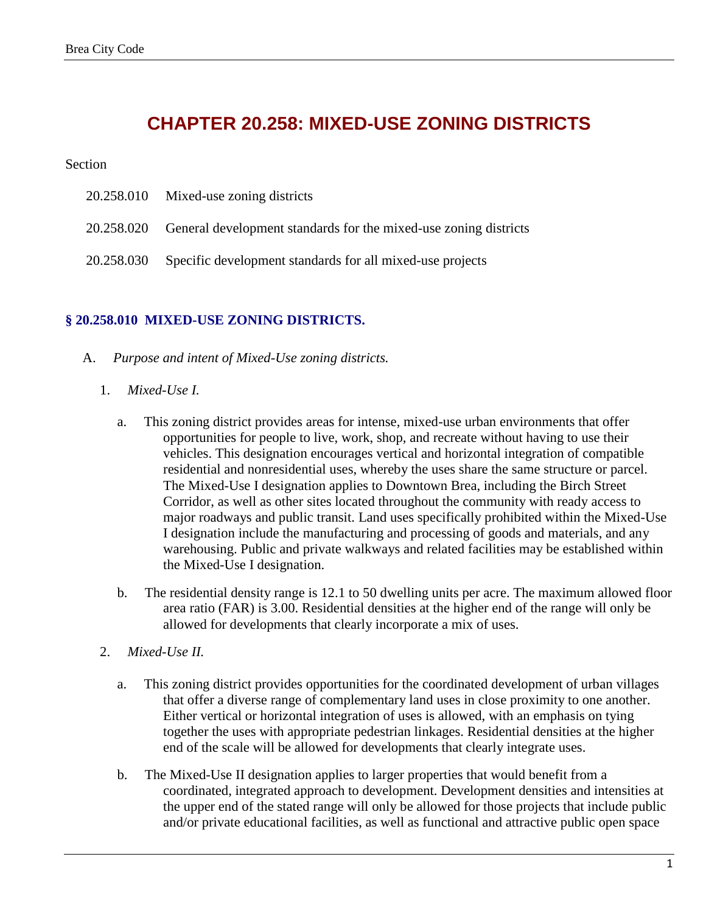## **CHAPTER 20.258: MIXED-USE ZONING DISTRICTS**

#### Section

|            | 20.258.010 Mixed-use zoning districts                                       |
|------------|-----------------------------------------------------------------------------|
|            | 20.258.020 General development standards for the mixed-use zoning districts |
| 20.258.030 | Specific development standards for all mixed-use projects                   |

### **§ 20.258.010 MIXED-USE ZONING DISTRICTS.**

- A. *Purpose and intent of Mixed-Use zoning districts.*
	- 1. *Mixed-Use I.*
		- a. This zoning district provides areas for intense, mixed-use urban environments that offer opportunities for people to live, work, shop, and recreate without having to use their vehicles. This designation encourages vertical and horizontal integration of compatible residential and nonresidential uses, whereby the uses share the same structure or parcel. The Mixed-Use I designation applies to Downtown Brea, including the Birch Street Corridor, as well as other sites located throughout the community with ready access to major roadways and public transit. Land uses specifically prohibited within the Mixed-Use I designation include the manufacturing and processing of goods and materials, and any warehousing. Public and private walkways and related facilities may be established within the Mixed-Use I designation.
		- b. The residential density range is 12.1 to 50 dwelling units per acre. The maximum allowed floor area ratio (FAR) is 3.00. Residential densities at the higher end of the range will only be allowed for developments that clearly incorporate a mix of uses.
	- 2. *Mixed-Use II.*
		- a. This zoning district provides opportunities for the coordinated development of urban villages that offer a diverse range of complementary land uses in close proximity to one another. Either vertical or horizontal integration of uses is allowed, with an emphasis on tying together the uses with appropriate pedestrian linkages. Residential densities at the higher end of the scale will be allowed for developments that clearly integrate uses.
		- b. The Mixed-Use II designation applies to larger properties that would benefit from a coordinated, integrated approach to development. Development densities and intensities at the upper end of the stated range will only be allowed for those projects that include public and/or private educational facilities, as well as functional and attractive public open space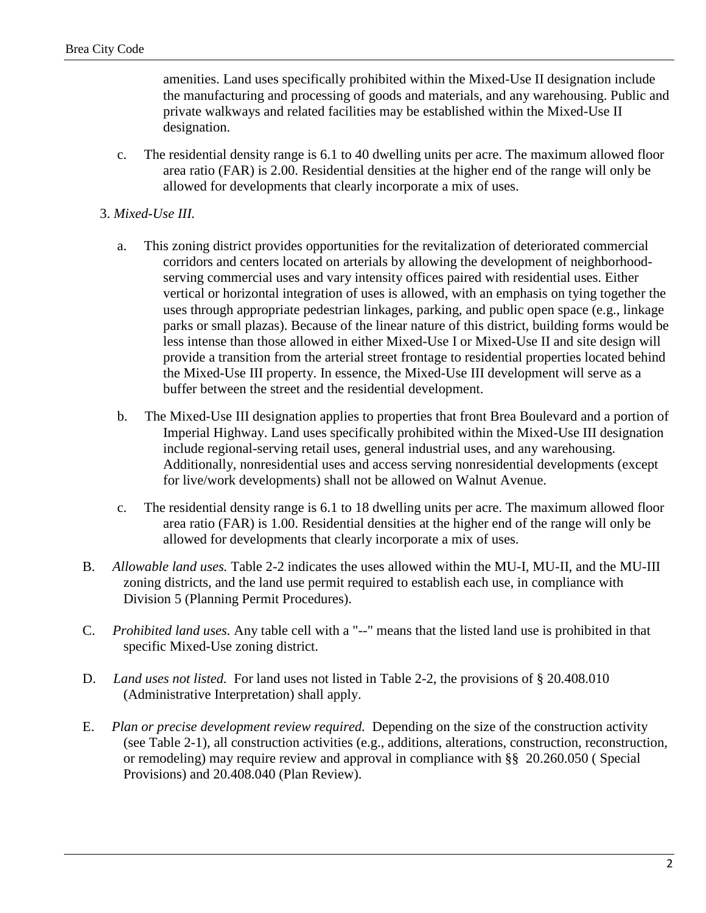amenities. Land uses specifically prohibited within the Mixed-Use II designation include the manufacturing and processing of goods and materials, and any warehousing. Public and private walkways and related facilities may be established within the Mixed-Use II designation.

 c. The residential density range is 6.1 to 40 dwelling units per acre. The maximum allowed floor area ratio (FAR) is 2.00. Residential densities at the higher end of the range will only be allowed for developments that clearly incorporate a mix of uses.

#### 3. *Mixed-Use III.*

- a. This zoning district provides opportunities for the revitalization of deteriorated commercial corridors and centers located on arterials by allowing the development of neighborhoodserving commercial uses and vary intensity offices paired with residential uses. Either vertical or horizontal integration of uses is allowed, with an emphasis on tying together the uses through appropriate pedestrian linkages, parking, and public open space (e.g., linkage parks or small plazas). Because of the linear nature of this district, building forms would be less intense than those allowed in either Mixed-Use I or Mixed-Use II and site design will provide a transition from the arterial street frontage to residential properties located behind the Mixed-Use III property. In essence, the Mixed-Use III development will serve as a buffer between the street and the residential development.
- b. The Mixed-Use III designation applies to properties that front Brea Boulevard and a portion of Imperial Highway. Land uses specifically prohibited within the Mixed-Use III designation include regional-serving retail uses, general industrial uses, and any warehousing. Additionally, nonresidential uses and access serving nonresidential developments (except for live/work developments) shall not be allowed on Walnut Avenue.
- c. The residential density range is 6.1 to 18 dwelling units per acre. The maximum allowed floor area ratio (FAR) is 1.00. Residential densities at the higher end of the range will only be allowed for developments that clearly incorporate a mix of uses.
- B. *Allowable land uses.* Table 2-2 indicates the uses allowed within the MU-I, MU-II, and the MU-III zoning districts, and the land use permit required to establish each use, in compliance with Division 5 (Planning Permit Procedures).
- C. *Prohibited land uses.* Any table cell with a "--" means that the listed land use is prohibited in that specific Mixed-Use zoning district.
- D. *Land uses not listed.* For land uses not listed in Table 2-2, the provisions of § 20.408.010 (Administrative Interpretation) shall apply.
- E. *Plan or precise development review required.* Depending on the size of the construction activity (see Table 2-1), all construction activities (e.g., additions, alterations, construction, reconstruction, or remodeling) may require review and approval in compliance with §§ 20.260.050 ( Special Provisions) and 20.408.040 (Plan Review).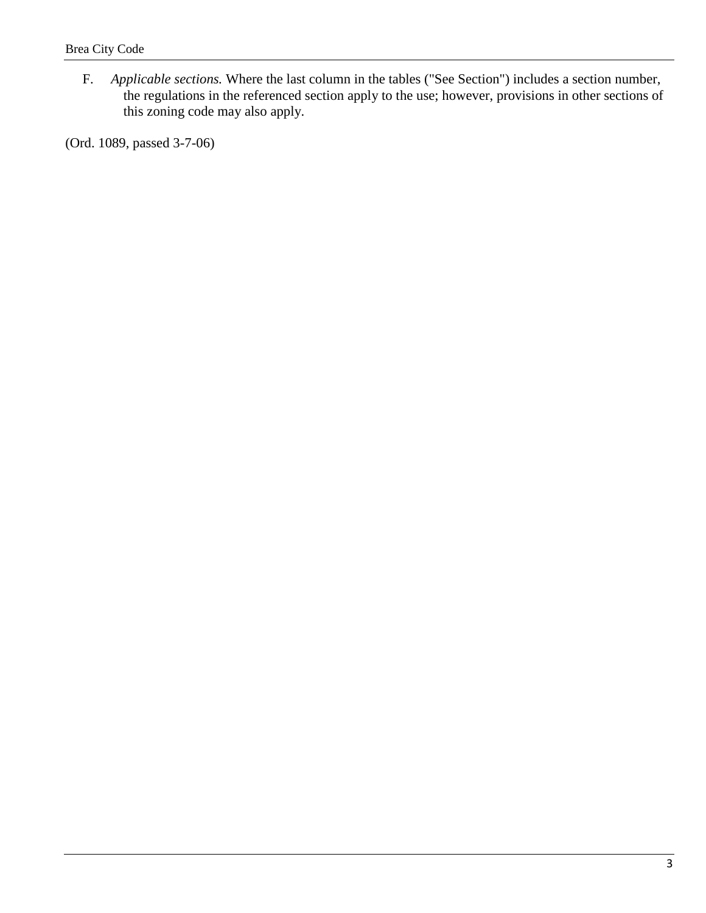F. *Applicable sections.* Where the last column in the tables ("See Section") includes a section number, the regulations in the referenced section apply to the use; however, provisions in other sections of this zoning code may also apply.

(Ord. 1089, passed 3-7-06)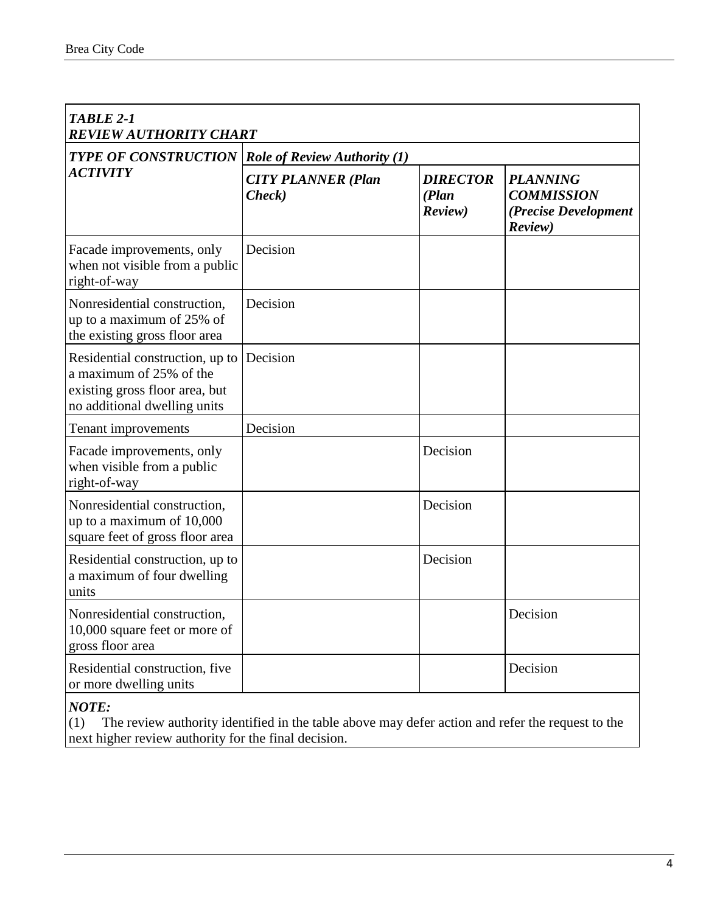| TABLE 2-1<br><b>REVIEW AUTHORITY CHART</b>                                                                                   |                                     |                                      |                                                                         |  |  |
|------------------------------------------------------------------------------------------------------------------------------|-------------------------------------|--------------------------------------|-------------------------------------------------------------------------|--|--|
| <b>TYPE OF CONSTRUCTION</b>                                                                                                  | <b>Role of Review Authority (1)</b> |                                      |                                                                         |  |  |
| <b>ACTIVITY</b>                                                                                                              | <b>CITY PLANNER (Plan</b><br>Check) | <b>DIRECTOR</b><br>(Plan)<br>Review) | <b>PLANNING</b><br><b>COMMISSION</b><br>(Precise Development<br>Review) |  |  |
| Facade improvements, only<br>when not visible from a public<br>right-of-way                                                  | Decision                            |                                      |                                                                         |  |  |
| Nonresidential construction,<br>up to a maximum of 25% of<br>the existing gross floor area                                   | Decision                            |                                      |                                                                         |  |  |
| Residential construction, up to<br>a maximum of 25% of the<br>existing gross floor area, but<br>no additional dwelling units | Decision                            |                                      |                                                                         |  |  |
| Tenant improvements                                                                                                          | Decision                            |                                      |                                                                         |  |  |
| Facade improvements, only<br>when visible from a public<br>right-of-way                                                      |                                     | Decision                             |                                                                         |  |  |
| Nonresidential construction,<br>up to a maximum of $10,000$<br>square feet of gross floor area                               |                                     | Decision                             |                                                                         |  |  |
| Residential construction, up to<br>a maximum of four dwelling<br>units                                                       |                                     | Decision                             |                                                                         |  |  |
| Nonresidential construction,<br>10,000 square feet or more of<br>gross floor area                                            |                                     |                                      | Decision                                                                |  |  |
| Residential construction, five<br>or more dwelling units                                                                     |                                     |                                      | Decision                                                                |  |  |

*NOTE:*

(1) The review authority identified in the table above may defer action and refer the request to the next higher review authority for the final decision.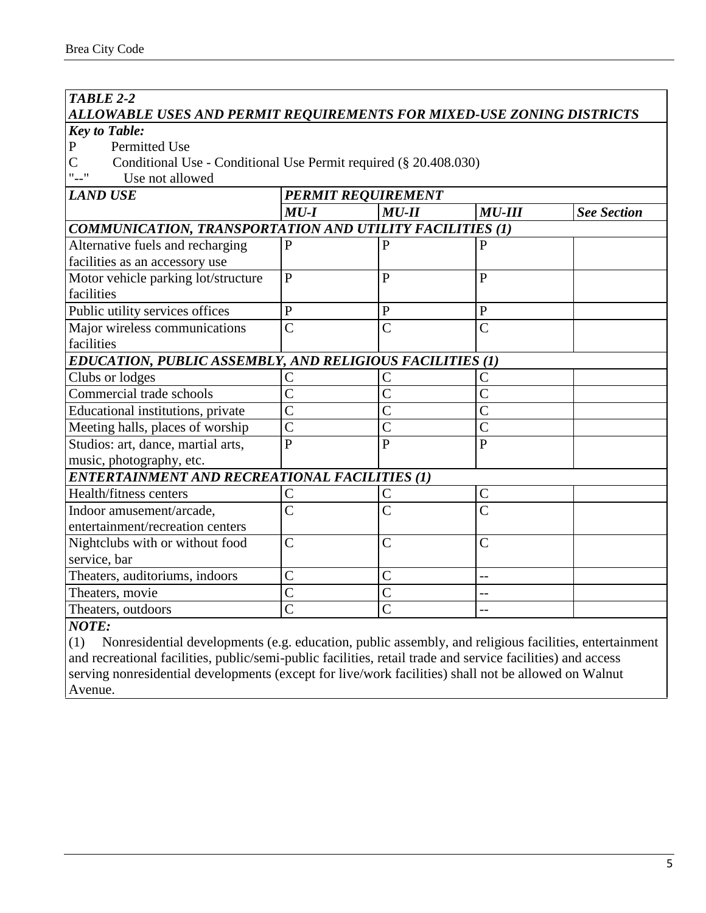## *TABLE 2-2 ALLOWABLE USES AND PERMIT REQUIREMENTS FOR MIXED-USE ZONING DISTRICTS Key to Table:*

P Permitted Use<br>C Conditional Use

Conditional Use - Conditional Use Permit required (§ 20.408.030)

"--" Use not allowed

*LAND USE PERMIT REQUIREMENT*

|                                                          | $MU-I$         | $MU-II$            | $MU-III$           | <b>See Section</b> |
|----------------------------------------------------------|----------------|--------------------|--------------------|--------------------|
| COMMUNICATION, TRANSPORTATION AND UTILITY FACILITIES (1) |                |                    |                    |                    |
| Alternative fuels and recharging                         | P              | P                  |                    |                    |
| facilities as an accessory use                           |                |                    |                    |                    |
| Motor vehicle parking lot/structure                      | $\mathbf{P}$   | $\mathbf{P}$       | P                  |                    |
| facilities                                               |                |                    |                    |                    |
| Public utility services offices                          | $\mathbf{P}$   | P                  | $\mathbf{P}$       |                    |
| Major wireless communications                            | $\mathcal{C}$  | $\mathcal{C}$      | $\mathcal{C}$      |                    |
| facilities                                               |                |                    |                    |                    |
| EDUCATION, PUBLIC ASSEMBLY, AND RELIGIOUS FACILITIES (1) |                |                    |                    |                    |
| Clubs or lodges                                          |                |                    |                    |                    |
| Commercial trade schools                                 | $\overline{C}$ |                    | C                  |                    |
| Educational institutions, private                        | $\overline{C}$ |                    | $\overline{\rm C}$ |                    |
| Meeting halls, places of worship                         | $\overline{C}$ |                    | $\overline{\rm C}$ |                    |
| Studios: art, dance, martial arts,                       | $\mathbf{P}$   | P                  | $\mathbf{P}$       |                    |
| music, photography, etc.                                 |                |                    |                    |                    |
| <b>ENTERTAINMENT AND RECREATIONAL FACILITIES (1)</b>     |                |                    |                    |                    |
| Health/fitness centers                                   | C              |                    | $\mathcal{C}$      |                    |
| Indoor amusement/arcade,                                 | $\overline{C}$ | C                  | $\overline{C}$     |                    |
| entertainment/recreation centers                         |                |                    |                    |                    |
| Nightclubs with or without food                          | $\mathsf{C}$   | $\mathcal{C}$      | $\overline{C}$     |                    |
| service, bar                                             |                |                    |                    |                    |
| Theaters, auditoriums, indoors                           | $\overline{C}$ | $\overline{C}$     |                    |                    |
| Theaters, movie                                          | $\overline{C}$ | $\overline{\rm C}$ |                    |                    |
| Theaters, outdoors                                       |                |                    |                    |                    |
|                                                          |                |                    |                    |                    |

#### *NOTE:*

(1) Nonresidential developments (e.g. education, public assembly, and religious facilities, entertainment and recreational facilities, public/semi-public facilities, retail trade and service facilities) and access serving nonresidential developments (except for live/work facilities) shall not be allowed on Walnut Avenue.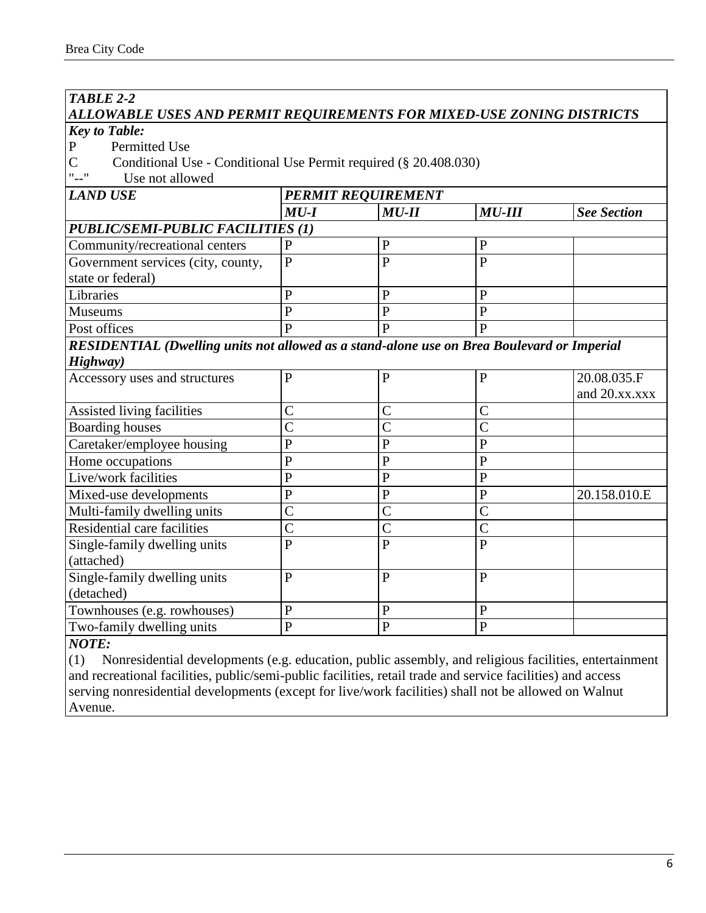#### *TABLE 2-2 ALLOWABLE USES AND PERMIT REQUIREMENTS FOR MIXED-USE ZONING DISTRICTS Key to Table:* P Permitted Use C Conditional Use - Conditional Use Permit required (§ 20.408.030)<br>"--" Use not allowed Use not allowed *LAND USE PERMIT REQUIREMENT MU-I MU-II MU-III See Section PUBLIC/SEMI-PUBLIC FACILITIES (1)* Community/recreational centers P P P P P Government services (city, county, state or federal) P | P | P Libraries  $|P|$  P  $|P|$ Museums P P P P Post offices  $|P|$   $|P|$ *RESIDENTIAL (Dwelling units not allowed as a stand-alone use on Brea Boulevard or Imperial Highway)* Accessory uses and structures P P P 20.08.035.F and 20.xx.xxx Assisted living facilities  $|C|$   $|C|$ Boarding houses  $\begin{array}{ccc} \vert \text{C} \vert & \vert \text{C} \vert & \vert \text{C} \vert \end{array}$  $Care take r/employee housing$  P P P Home occupations  $|P|$   $|P|$ Live/work facilities P P P P P Mixed-use developments  $\vert P \vert$   $\vert P \vert$   $\vert P \vert$   $\vert 20.158.010.E$ Multi-family dwelling units C C C Residential care facilities  $|C|$   $|C|$ Single-family dwelling units (attached) P | P | P Single-family dwelling units (detached) P | P | P Townhouses (e.g. rowhouses)  $\begin{array}{c|c} |P| & |P| & |P| \end{array}$

#### *NOTE:*

(1) Nonresidential developments (e.g. education, public assembly, and religious facilities, entertainment and recreational facilities, public/semi-public facilities, retail trade and service facilities) and access serving nonresidential developments (except for live/work facilities) shall not be allowed on Walnut Avenue.

Two-family dwelling units P P P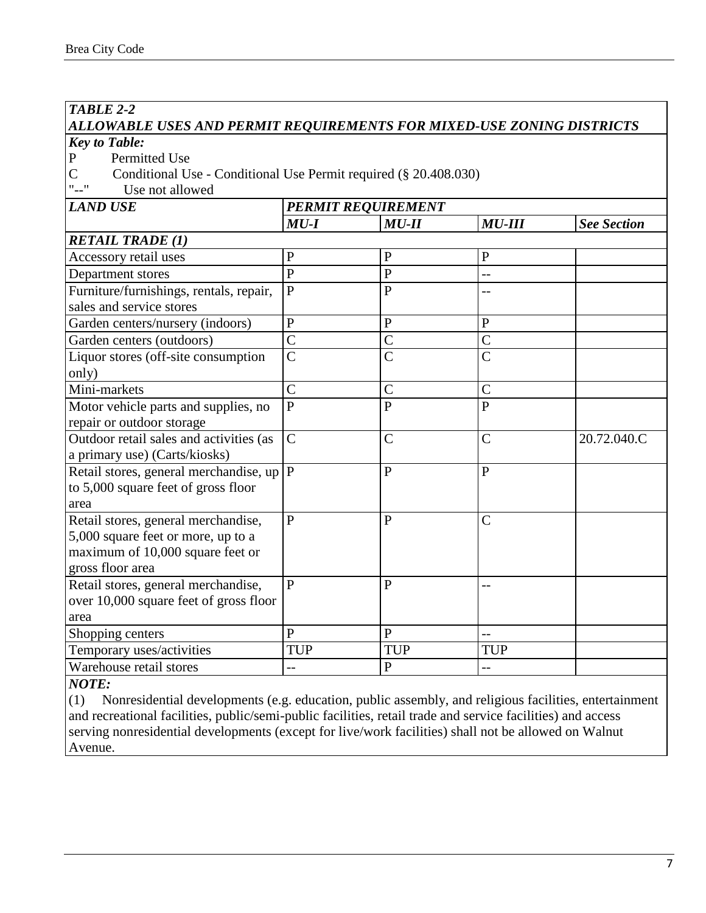## *TABLE 2-2*

## *ALLOWABLE USES AND PERMIT REQUIREMENTS FOR MIXED-USE ZONING DISTRICTS*

*Key to Table:*

P Permitted Use<br>C Conditional U

- C Conditional Use Conditional Use Permit required (§ 20.408.030)<br>"--" Use not allowed
- Use not allowed

| <b>LAND USE</b>                         | <b>PERMIT REQUIREMENT</b> |                |                |                    |  |
|-----------------------------------------|---------------------------|----------------|----------------|--------------------|--|
|                                         | $MU-I$                    | $MU-II$        | $MU-III$       | <b>See Section</b> |  |
| <b>RETAIL TRADE (1)</b>                 |                           |                |                |                    |  |
| Accessory retail uses                   | ${\bf P}$                 | ${\bf P}$      | ${\bf P}$      |                    |  |
| Department stores                       | $\overline{P}$            | $\mathbf P$    | $-$            |                    |  |
| Furniture/furnishings, rentals, repair, | $\overline{P}$            | $\mathbf{P}$   | $-$            |                    |  |
| sales and service stores                |                           |                |                |                    |  |
| Garden centers/nursery (indoors)        | ${\bf P}$                 | ${\bf P}$      | ${\bf P}$      |                    |  |
| Garden centers (outdoors)               | $\overline{C}$            | $\overline{C}$ | $\mathcal{C}$  |                    |  |
| Liquor stores (off-site consumption     | $\overline{C}$            | $\mathcal{C}$  | $\mathcal{C}$  |                    |  |
| only)                                   |                           |                |                |                    |  |
| Mini-markets                            | $\overline{C}$            | $\overline{C}$ | $\overline{C}$ |                    |  |
| Motor vehicle parts and supplies, no    | $\overline{P}$            | $\overline{P}$ | $\overline{P}$ |                    |  |
| repair or outdoor storage               |                           |                |                |                    |  |
| Outdoor retail sales and activities (as | $\overline{C}$            | $\overline{C}$ | $\overline{C}$ | 20.72.040.C        |  |
| a primary use) (Carts/kiosks)           |                           |                |                |                    |  |
| Retail stores, general merchandise, up  | $\mathbf{P}$              | $\mathbf{P}$   | $\mathbf{P}$   |                    |  |
| to 5,000 square feet of gross floor     |                           |                |                |                    |  |
| area                                    |                           |                |                |                    |  |
| Retail stores, general merchandise,     | $\overline{P}$            | $\mathbf{P}$   | $\mathcal{C}$  |                    |  |
| 5,000 square feet or more, up to a      |                           |                |                |                    |  |
| maximum of 10,000 square feet or        |                           |                |                |                    |  |
| gross floor area                        |                           |                |                |                    |  |
| Retail stores, general merchandise,     | $\mathbf{P}$              | $\mathbf{P}$   | $-$            |                    |  |
| over 10,000 square feet of gross floor  |                           |                |                |                    |  |
| area                                    |                           |                |                |                    |  |
| Shopping centers                        | $\mathbf{P}$              | $\mathbf{P}$   | $-$            |                    |  |
| Temporary uses/activities               | <b>TUP</b>                | <b>TUP</b>     | <b>TUP</b>     |                    |  |
| Warehouse retail stores                 |                           | ${\bf P}$      | $-$            |                    |  |

*NOTE:*

(1) Nonresidential developments (e.g. education, public assembly, and religious facilities, entertainment and recreational facilities, public/semi-public facilities, retail trade and service facilities) and access serving nonresidential developments (except for live/work facilities) shall not be allowed on Walnut Avenue.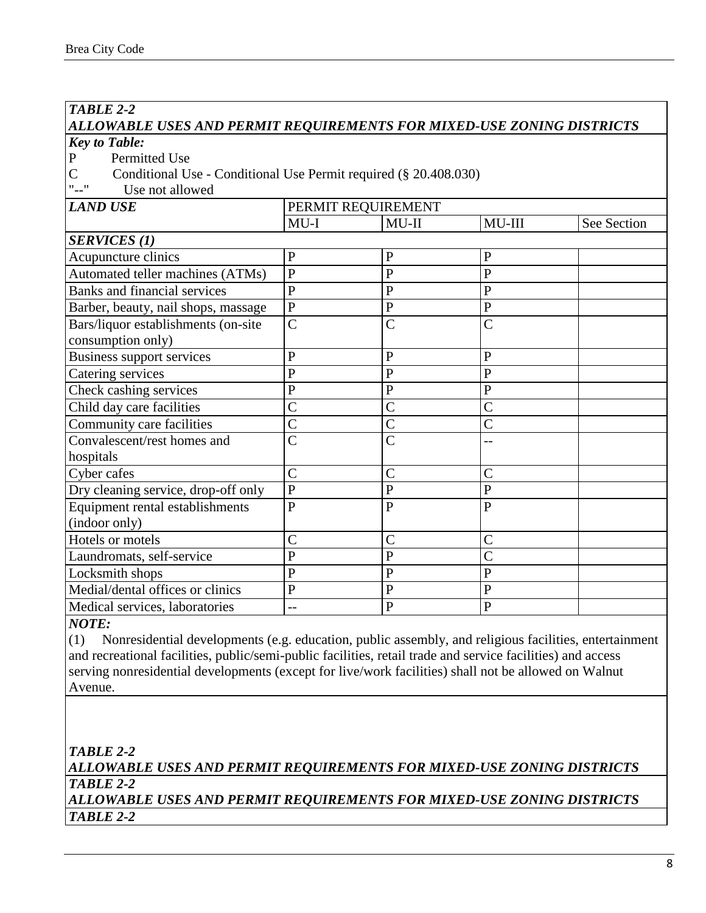## *TABLE 2-2*

# *ALLOWABLE USES AND PERMIT REQUIREMENTS FOR MIXED-USE ZONING DISTRICTS*

*Key to Table:*

P Permitted Use

C Conditional Use - Conditional Use Permit required (§ 20.408.030)<br>"--" Use not allowed

Use not allowed

| <b>LAND USE</b>                     | PERMIT REQUIREMENT |                |                |             |
|-------------------------------------|--------------------|----------------|----------------|-------------|
|                                     | $MU-I$             | $MU-II$        | $MU-III$       | See Section |
| <b>SERVICES (1)</b>                 |                    |                |                |             |
| Acupuncture clinics                 | $\mathbf{P}$       | $\mathbf{P}$   | $\mathbf P$    |             |
| Automated teller machines (ATMs)    | $\overline{P}$     | $\overline{P}$ | $\overline{P}$ |             |
| <b>Banks and financial services</b> | $\overline{P}$     | $\overline{P}$ | $\mathbf{P}$   |             |
| Barber, beauty, nail shops, massage | $\overline{P}$     | $\mathbf{P}$   | $\mathbf{P}$   |             |
| Bars/liquor establishments (on-site | $\mathcal{C}$      | $\overline{C}$ | $\mathcal{C}$  |             |
| consumption only)                   |                    |                |                |             |
| <b>Business support services</b>    | ${\bf P}$          | $\overline{P}$ | $\mathbf{P}$   |             |
| Catering services                   | $\mathbf{P}$       | $\overline{P}$ | $\overline{P}$ |             |
| Check cashing services              | ${\bf P}$          | $\overline{P}$ | ${\bf P}$      |             |
| Child day care facilities           | $\mathcal{C}$      | $\overline{C}$ | $\overline{C}$ |             |
| Community care facilities           | $\mathcal{C}$      | $\overline{C}$ | $\mathcal{C}$  |             |
| Convalescent/rest homes and         | $\mathcal{C}$      | $\overline{C}$ | $-1$           |             |
| hospitals                           |                    |                |                |             |
| Cyber cafes                         | $\overline{C}$     | $\overline{C}$ | $\overline{C}$ |             |
| Dry cleaning service, drop-off only | $\overline{P}$     | $\overline{P}$ | $\mathbf{P}$   |             |
| Equipment rental establishments     | $\overline{P}$     | $\overline{P}$ | $\overline{P}$ |             |
| (indoor only)                       |                    |                |                |             |
| Hotels or motels                    | $\mathcal{C}$      | $\mathcal{C}$  | $\mathcal{C}$  |             |
| Laundromats, self-service           | $\mathbf{P}$       | $\mathbf{P}$   | $\mathcal{C}$  |             |
| Locksmith shops                     | $\mathbf{P}$       | $\mathbf{P}$   | $\mathbf{P}$   |             |
| Medial/dental offices or clinics    | $\mathbf{P}$       | $\overline{P}$ | $\overline{P}$ |             |
| Medical services, laboratories      | --                 | $\mathbf{P}$   | $\mathbf{P}$   |             |

#### *NOTE:*

(1) Nonresidential developments (e.g. education, public assembly, and religious facilities, entertainment and recreational facilities, public/semi-public facilities, retail trade and service facilities) and access serving nonresidential developments (except for live/work facilities) shall not be allowed on Walnut Avenue.

*TABLE 2-2 ALLOWABLE USES AND PERMIT REQUIREMENTS FOR MIXED-USE ZONING DISTRICTS TABLE 2-2 ALLOWABLE USES AND PERMIT REQUIREMENTS FOR MIXED-USE ZONING DISTRICTS TABLE 2-2*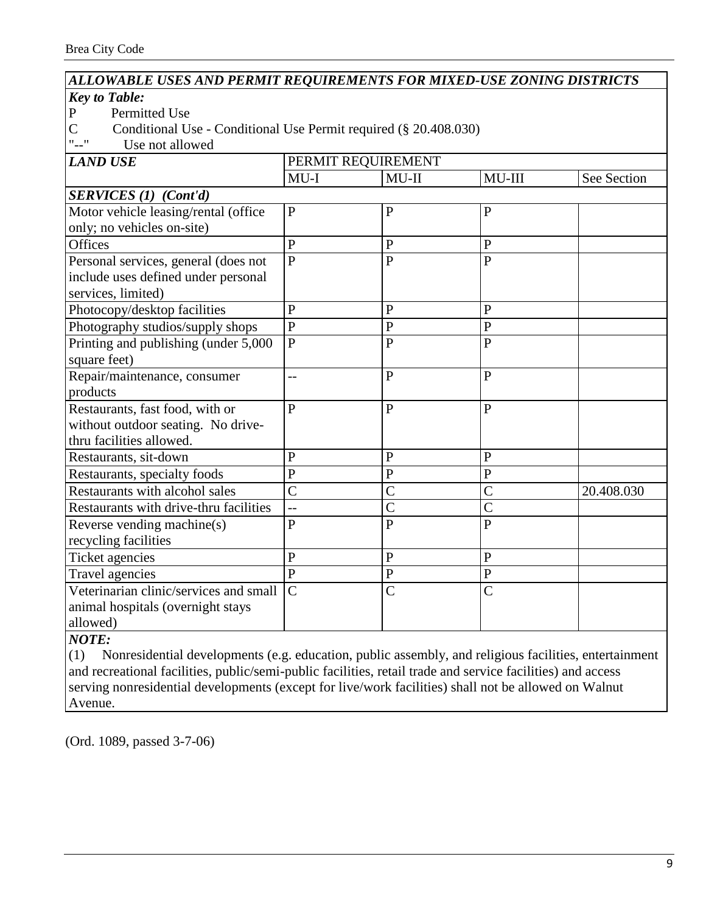## *ALLOWABLE USES AND PERMIT REQUIREMENTS FOR MIXED-USE ZONING DISTRICTS*

#### *Key to Table:*

- P Permitted Use<br>C Conditional Use
- C Conditional Use Conditional Use Permit required (§ 20.408.030)<br>"--" Use not allowed

Use not allowed

| <b>LAND USE</b>                        | PERMIT REQUIREMENT |                |                |             |
|----------------------------------------|--------------------|----------------|----------------|-------------|
|                                        | $MU-I$             | $MU-II$        | MU-III         | See Section |
| <b>SERVICES</b> (1) (Cont'd)           |                    |                |                |             |
| Motor vehicle leasing/rental (office   | $\overline{P}$     | $\overline{P}$ | $\overline{P}$ |             |
| only; no vehicles on-site)             |                    |                |                |             |
| <b>Offices</b>                         | $\mathbf{P}$       | $\mathbf{P}$   | $\mathbf{P}$   |             |
| Personal services, general (does not   | $\overline{P}$     | $\overline{P}$ | $\overline{P}$ |             |
| include uses defined under personal    |                    |                |                |             |
| services, limited)                     |                    |                |                |             |
| Photocopy/desktop facilities           | $\mathbf{P}$       | $\mathbf{P}$   | $\mathbf{P}$   |             |
| Photography studios/supply shops       | $\mathbf{P}$       | $\mathbf P$    | $\mathbf{P}$   |             |
| Printing and publishing (under 5,000)  | $\overline{P}$     | $\overline{P}$ | $\overline{P}$ |             |
| square feet)                           |                    |                |                |             |
| Repair/maintenance, consumer           | $-$                | $\mathbf{P}$   | $\overline{P}$ |             |
| products                               |                    |                |                |             |
| Restaurants, fast food, with or        | $\overline{P}$     | $\overline{P}$ | $\overline{P}$ |             |
| without outdoor seating. No drive-     |                    |                |                |             |
| thru facilities allowed.               |                    |                |                |             |
| Restaurants, sit-down                  | $\mathbf{P}$       | $\mathbf{P}$   | $\mathbf{P}$   |             |
| Restaurants, specialty foods           | $\overline{P}$     | $\mathbf P$    | $\overline{P}$ |             |
| Restaurants with alcohol sales         | $\overline{C}$     | $\overline{C}$ | $\overline{C}$ | 20.408.030  |
| Restaurants with drive-thru facilities | $-$                | $\overline{C}$ | $\overline{C}$ |             |
| Reverse vending machine(s)             | $\overline{P}$     | $\overline{P}$ | $\overline{P}$ |             |
| recycling facilities                   |                    |                |                |             |
| Ticket agencies                        | $\overline{P}$     | $\mathbf{P}$   | $\overline{P}$ |             |
| <b>Travel agencies</b>                 | $\overline{P}$     | ${\bf P}$      | $\mathbf P$    |             |
| Veterinarian clinic/services and small | $\overline{C}$     | $\overline{C}$ | $\overline{C}$ |             |
| animal hospitals (overnight stays      |                    |                |                |             |
| allowed)                               |                    |                |                |             |

#### *NOTE:*

(1) Nonresidential developments (e.g. education, public assembly, and religious facilities, entertainment and recreational facilities, public/semi-public facilities, retail trade and service facilities) and access serving nonresidential developments (except for live/work facilities) shall not be allowed on Walnut Avenue.

(Ord. 1089, passed 3-7-06)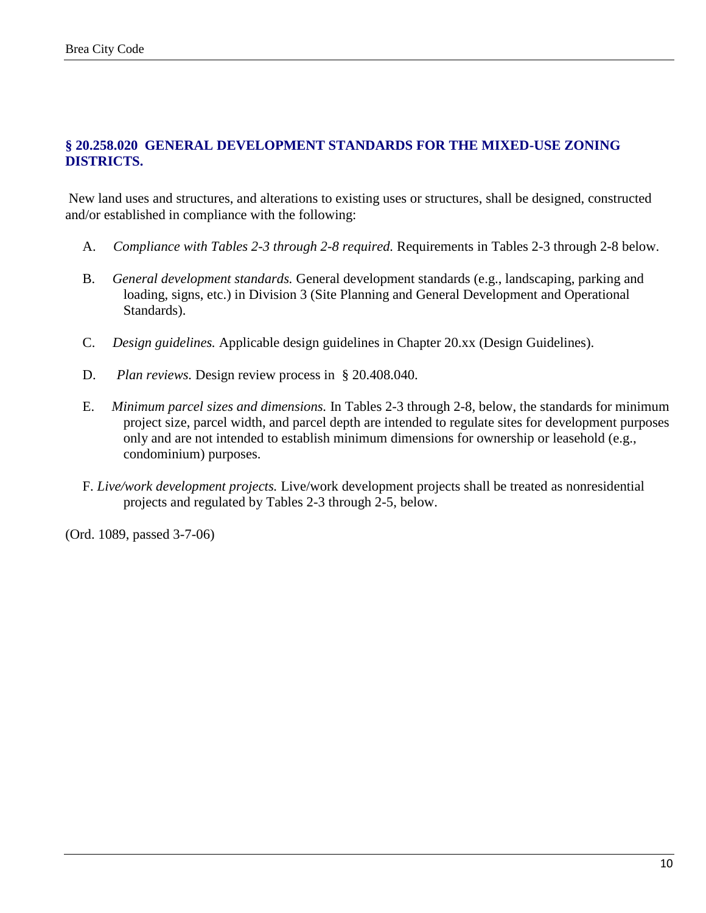### **§ 20.258.020 GENERAL DEVELOPMENT STANDARDS FOR THE MIXED-USE ZONING DISTRICTS.**

New land uses and structures, and alterations to existing uses or structures, shall be designed, constructed and/or established in compliance with the following:

- A. *Compliance with Tables 2-3 through 2-8 required.* Requirements in Tables 2-3 through 2-8 below.
- B. *General development standards.* General development standards (e.g., landscaping, parking and loading, signs, etc.) in Division 3 (Site Planning and General Development and Operational Standards).
- C. *Design guidelines.* Applicable design guidelines in Chapter 20.xx (Design Guidelines).
- D. *Plan reviews.* Design review process in § 20.408.040.
- E. *Minimum parcel sizes and dimensions.* In Tables 2-3 through 2-8, below, the standards for minimum project size, parcel width, and parcel depth are intended to regulate sites for development purposes only and are not intended to establish minimum dimensions for ownership or leasehold (e.g., condominium) purposes.
- F. *Live/work development projects.* Live/work development projects shall be treated as nonresidential projects and regulated by Tables 2-3 through 2-5, below.

(Ord. 1089, passed 3-7-06)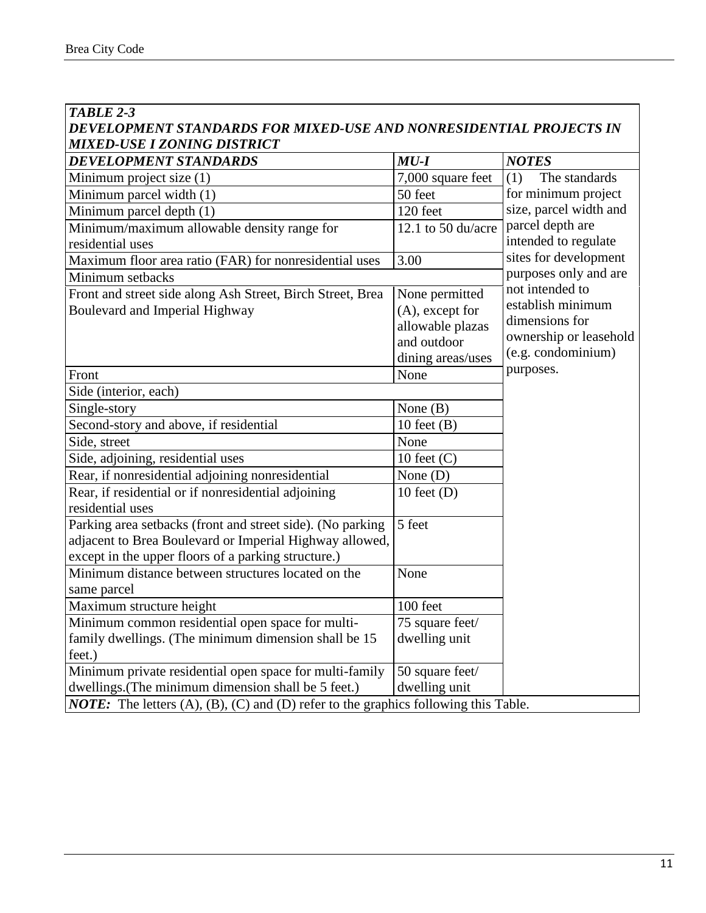| <b>TABLE 2-3</b>                                                                                     |                              |                        |
|------------------------------------------------------------------------------------------------------|------------------------------|------------------------|
| DEVELOPMENT STANDARDS FOR MIXED-USE AND NONRESIDENTIAL PROJECTS IN                                   |                              |                        |
| MIXED-USE I ZONING DISTRICT<br>DEVELOPMENT STANDARDS                                                 | $MU-I$                       | <b>NOTES</b>           |
| Minimum project size (1)                                                                             | 7,000 square feet            | (1)<br>The standards   |
| Minimum parcel width (1)                                                                             | 50 feet                      | for minimum project    |
| Minimum parcel depth (1)                                                                             | 120 feet                     | size, parcel width and |
| Minimum/maximum allowable density range for                                                          | 12.1 to 50 $du/acre$         | parcel depth are       |
| residential uses                                                                                     |                              | intended to regulate   |
| Maximum floor area ratio (FAR) for nonresidential uses                                               | 3.00                         | sites for development  |
| Minimum setbacks                                                                                     |                              | purposes only and are  |
| Front and street side along Ash Street, Birch Street, Brea                                           | None permitted               | not intended to        |
| Boulevard and Imperial Highway                                                                       | $(A)$ , except for           | establish minimum      |
|                                                                                                      | allowable plazas             | dimensions for         |
|                                                                                                      | and outdoor                  | ownership or leasehold |
|                                                                                                      | dining areas/uses            | (e.g. condominium)     |
| Front                                                                                                | None                         | purposes.              |
| Side (interior, each)                                                                                |                              |                        |
| Single-story                                                                                         | None $(B)$                   |                        |
| Second-story and above, if residential                                                               | 10 feet $(B)$                |                        |
| Side, street                                                                                         | None                         |                        |
| Side, adjoining, residential uses                                                                    | 10 feet $(C)$                |                        |
| Rear, if nonresidential adjoining nonresidential                                                     | None $(D)$                   |                        |
| Rear, if residential or if nonresidential adjoining                                                  | 10 feet $(D)$                |                        |
| residential uses                                                                                     |                              |                        |
| Parking area setbacks (front and street side). (No parking                                           | 5 feet                       |                        |
| adjacent to Brea Boulevard or Imperial Highway allowed,                                              |                              |                        |
| except in the upper floors of a parking structure.)                                                  |                              |                        |
| Minimum distance between structures located on the                                                   | None                         |                        |
| same parcel                                                                                          |                              |                        |
| Maximum structure height                                                                             | 100 feet                     |                        |
| Minimum common residential open space for multi-                                                     | $\overline{75}$ square feet/ |                        |
| family dwellings. (The minimum dimension shall be 15                                                 | dwelling unit                |                        |
| feet.)                                                                                               |                              |                        |
| Minimum private residential open space for multi-family                                              | 50 square feet/              |                        |
| dwellings. (The minimum dimension shall be 5 feet.)                                                  | dwelling unit                |                        |
| <b>NOTE:</b> The letters $(A)$ , $(B)$ , $(C)$ and $(D)$ refer to the graphics following this Table. |                              |                        |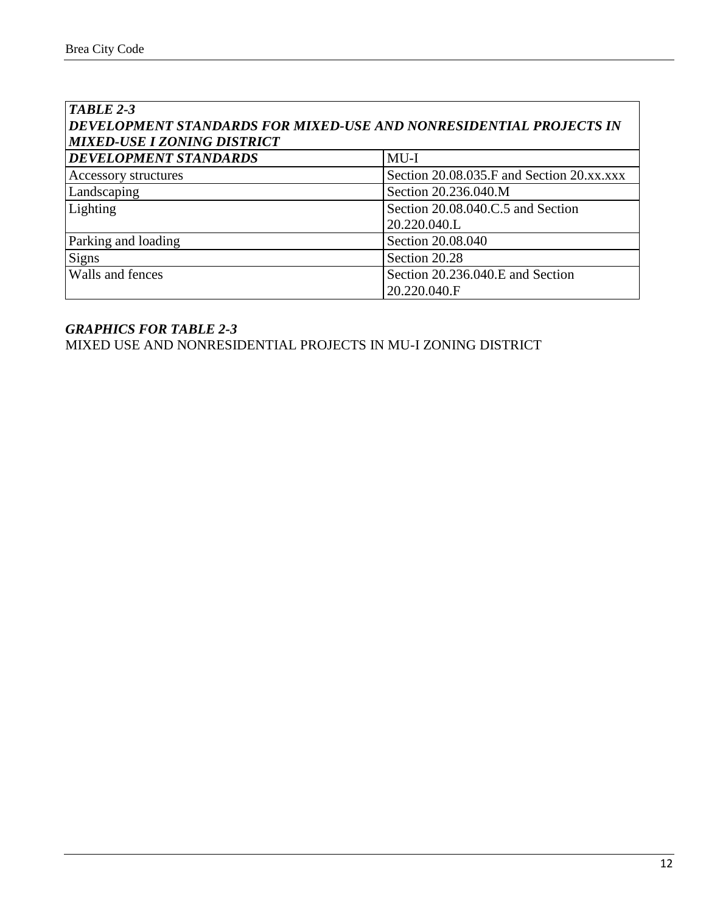| TABLE 2-3                                                          |                                           |  |  |  |
|--------------------------------------------------------------------|-------------------------------------------|--|--|--|
| DEVELOPMENT STANDARDS FOR MIXED-USE AND NONRESIDENTIAL PROJECTS IN |                                           |  |  |  |
| <b>MIXED-USE I ZONING DISTRICT</b>                                 |                                           |  |  |  |
| DEVELOPMENT STANDARDS                                              | $MU-I$                                    |  |  |  |
| Accessory structures                                               | Section 20.08.035.F and Section 20.xx.xxx |  |  |  |
| Landscaping                                                        | Section 20.236.040.M                      |  |  |  |
| Lighting                                                           | Section 20.08.040.C.5 and Section         |  |  |  |
|                                                                    | 20.220.040.L                              |  |  |  |
| Parking and loading                                                | Section 20.08.040                         |  |  |  |
| <b>Signs</b>                                                       | Section 20.28                             |  |  |  |
| Walls and fences                                                   | Section 20.236.040.E and Section          |  |  |  |
|                                                                    | 20.220.040.F                              |  |  |  |

MIXED USE AND NONRESIDENTIAL PROJECTS IN MU-I ZONING DISTRICT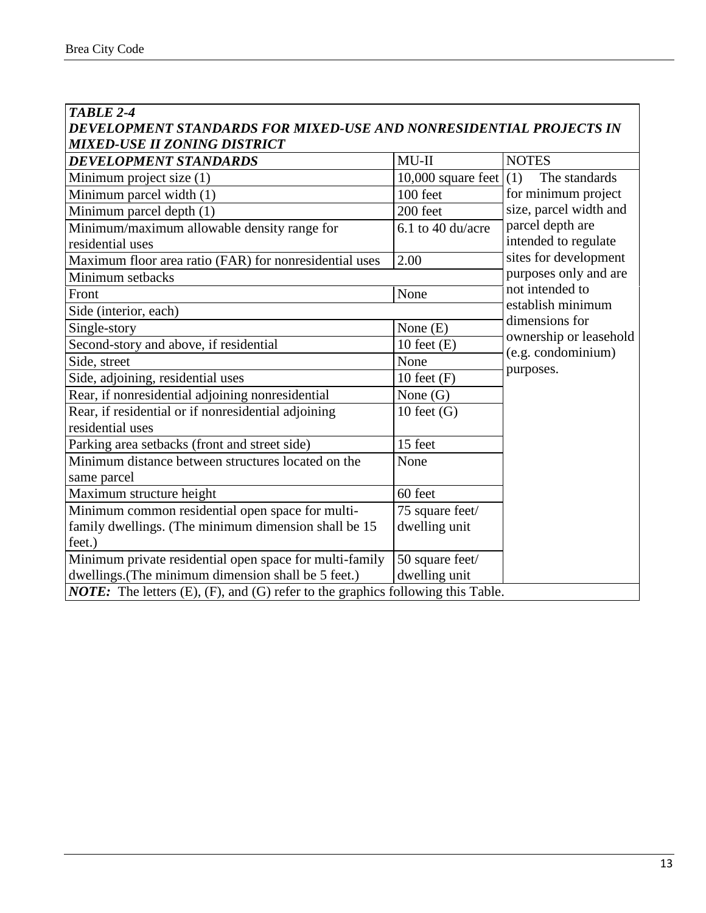| TABLE 2-4                                                                              |                          |                                              |
|----------------------------------------------------------------------------------------|--------------------------|----------------------------------------------|
| DEVELOPMENT STANDARDS FOR MIXED-USE AND NONRESIDENTIAL PROJECTS IN                     |                          |                                              |
| MIXED-USE II ZONING DISTRICT                                                           |                          |                                              |
| <b>DEVELOPMENT STANDARDS</b>                                                           | $MU-II$                  | <b>NOTES</b>                                 |
| Minimum project size (1)                                                               | 10,000 square feet $(1)$ | The standards                                |
| Minimum parcel width (1)                                                               | 100 feet                 | for minimum project                          |
| Minimum parcel depth (1)                                                               | 200 feet                 | size, parcel width and                       |
| Minimum/maximum allowable density range for                                            | 6.1 to 40 du/acre        | parcel depth are                             |
| residential uses                                                                       |                          | intended to regulate                         |
| Maximum floor area ratio (FAR) for nonresidential uses                                 | 2.00                     | sites for development                        |
| Minimum setbacks                                                                       |                          | purposes only and are                        |
| Front                                                                                  | None                     | not intended to                              |
| Side (interior, each)                                                                  |                          | establish minimum<br>dimensions for          |
| Single-story                                                                           | None $(E)$               |                                              |
| Second-story and above, if residential                                                 | 10 feet $(E)$            | ownership or leasehold<br>(e.g. condominium) |
| Side, street                                                                           | None                     | purposes.                                    |
| Side, adjoining, residential uses                                                      | 10 feet $(F)$            |                                              |
| Rear, if nonresidential adjoining nonresidential                                       | None $(G)$               |                                              |
| Rear, if residential or if nonresidential adjoining                                    | 10 feet $(G)$            |                                              |
| residential uses                                                                       |                          |                                              |
| Parking area setbacks (front and street side)                                          | 15 feet                  |                                              |
| Minimum distance between structures located on the                                     | None                     |                                              |
| same parcel                                                                            |                          |                                              |
| Maximum structure height                                                               | 60 feet                  |                                              |
| Minimum common residential open space for multi-                                       | 75 square feet/          |                                              |
| family dwellings. (The minimum dimension shall be 15                                   | dwelling unit            |                                              |
| feet.)                                                                                 |                          |                                              |
| Minimum private residential open space for multi-family                                | 50 square feet/          |                                              |
| dwellings. (The minimum dimension shall be 5 feet.)                                    | dwelling unit            |                                              |
| <b>NOTE:</b> The letters (E), (F), and (G) refer to the graphics following this Table. |                          |                                              |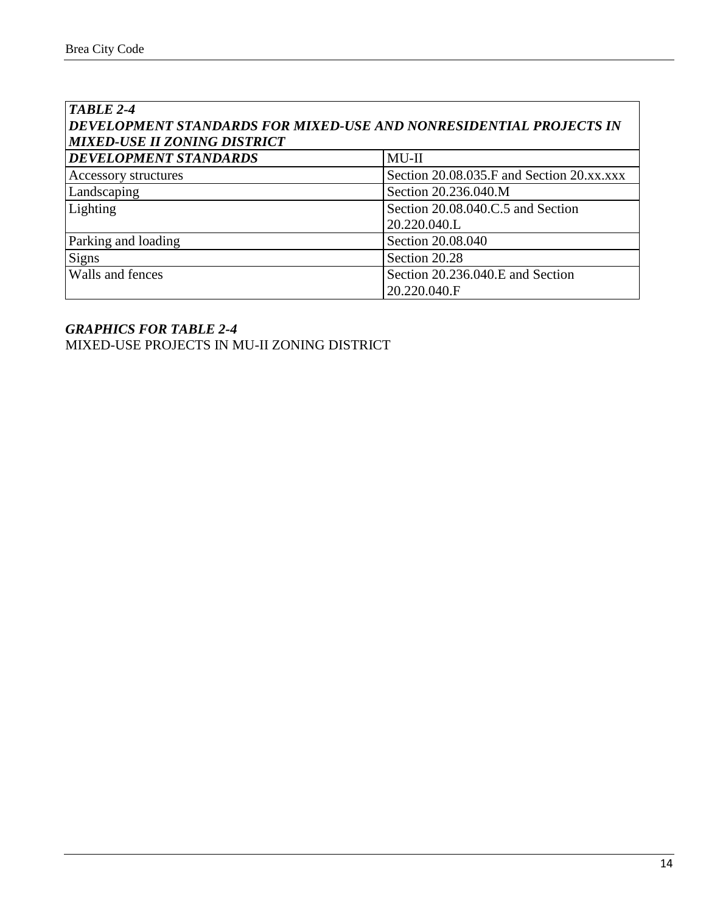| TABLE 2-4                                                          |                                           |  |  |  |
|--------------------------------------------------------------------|-------------------------------------------|--|--|--|
| DEVELOPMENT STANDARDS FOR MIXED-USE AND NONRESIDENTIAL PROJECTS IN |                                           |  |  |  |
| <b>MIXED-USE II ZONING DISTRICT</b>                                |                                           |  |  |  |
| <b>DEVELOPMENT STANDARDS</b>                                       | $MU-II$                                   |  |  |  |
| Accessory structures                                               | Section 20.08.035.F and Section 20.xx.xxx |  |  |  |
| Landscaping                                                        | Section 20.236.040.M                      |  |  |  |
| Lighting                                                           | Section 20.08.040.C.5 and Section         |  |  |  |
|                                                                    | 20.220.040.L                              |  |  |  |
| Parking and loading                                                | Section 20.08.040                         |  |  |  |
| <b>Signs</b>                                                       | Section 20.28                             |  |  |  |
| Walls and fences                                                   | Section 20.236.040.E and Section          |  |  |  |
|                                                                    | 20.220.040.F                              |  |  |  |

## *GRAPHICS FOR TABLE 2-4* MIXED-USE PROJECTS IN MU-II ZONING DISTRICT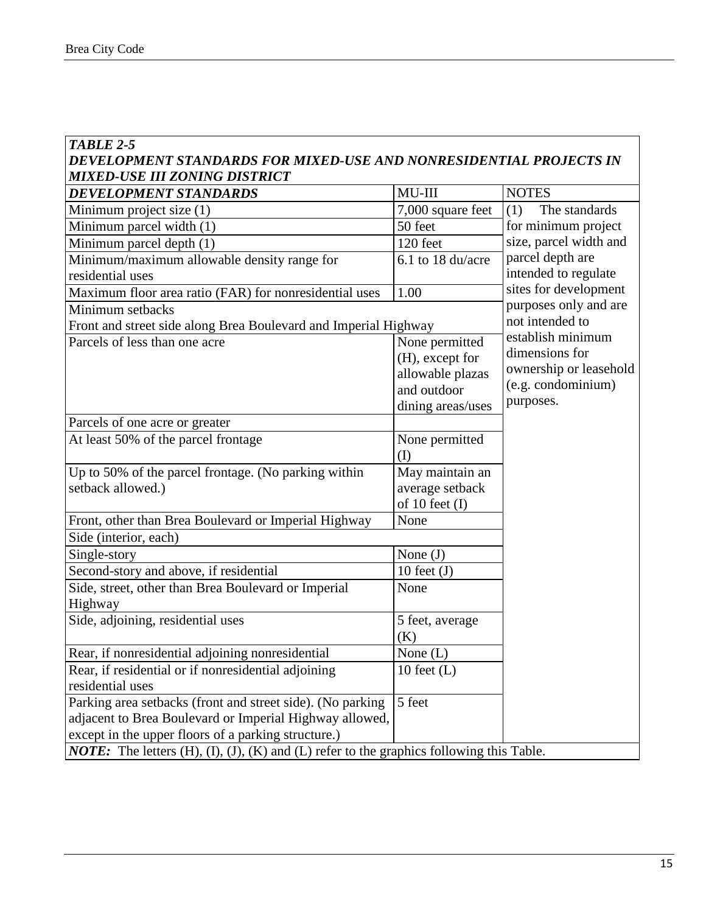#### *TABLE 2-5 DEVELOPMENT STANDARDS FOR MIXED-USE AND NONRESIDENTIAL PROJECTS IN MIXED-USE III ZONING DISTRICT*

| <b>DEVELOPMENT STANDARDS</b>                                                                                 | $MU-III$          | <b>NOTES</b>           |  |
|--------------------------------------------------------------------------------------------------------------|-------------------|------------------------|--|
| Minimum project size (1)                                                                                     | 7,000 square feet | (1)<br>The standards   |  |
| Minimum parcel width (1)                                                                                     | 50 feet           | for minimum project    |  |
| Minimum parcel depth (1)                                                                                     | 120 feet          | size, parcel width and |  |
| Minimum/maximum allowable density range for                                                                  | 6.1 to 18 du/acre | parcel depth are       |  |
| residential uses                                                                                             |                   | intended to regulate   |  |
| Maximum floor area ratio (FAR) for nonresidential uses                                                       | 1.00              | sites for development  |  |
| Minimum setbacks                                                                                             |                   | purposes only and are  |  |
| Front and street side along Brea Boulevard and Imperial Highway                                              |                   | not intended to        |  |
| Parcels of less than one acre                                                                                | None permitted    | establish minimum      |  |
|                                                                                                              | (H), except for   | dimensions for         |  |
|                                                                                                              | allowable plazas  | ownership or leasehold |  |
|                                                                                                              | and outdoor       | (e.g. condominium)     |  |
|                                                                                                              | dining areas/uses | purposes.              |  |
| Parcels of one acre or greater                                                                               |                   |                        |  |
| At least 50% of the parcel frontage                                                                          | None permitted    |                        |  |
|                                                                                                              | (I)               |                        |  |
| Up to 50% of the parcel frontage. (No parking within                                                         | May maintain an   |                        |  |
| setback allowed.)                                                                                            | average setback   |                        |  |
|                                                                                                              | of 10 feet $(I)$  |                        |  |
| Front, other than Brea Boulevard or Imperial Highway                                                         | None              |                        |  |
| Side (interior, each)                                                                                        |                   |                        |  |
| Single-story                                                                                                 | None $(J)$        |                        |  |
| Second-story and above, if residential                                                                       | 10 feet $(J)$     |                        |  |
| Side, street, other than Brea Boulevard or Imperial                                                          | None              |                        |  |
| Highway                                                                                                      |                   |                        |  |
| Side, adjoining, residential uses                                                                            | 5 feet, average   |                        |  |
|                                                                                                              | (K)               |                        |  |
| Rear, if nonresidential adjoining nonresidential                                                             | None $(L)$        |                        |  |
| Rear, if residential or if nonresidential adjoining                                                          | 10 feet $(L)$     |                        |  |
| residential uses                                                                                             |                   |                        |  |
| Parking area setbacks (front and street side). (No parking                                                   | 5 feet            |                        |  |
| adjacent to Brea Boulevard or Imperial Highway allowed,                                                      |                   |                        |  |
| except in the upper floors of a parking structure.)                                                          |                   |                        |  |
| <b>NOTE:</b> The letters $(H)$ , $(I)$ , $(J)$ , $(K)$ and $(L)$ refer to the graphics following this Table. |                   |                        |  |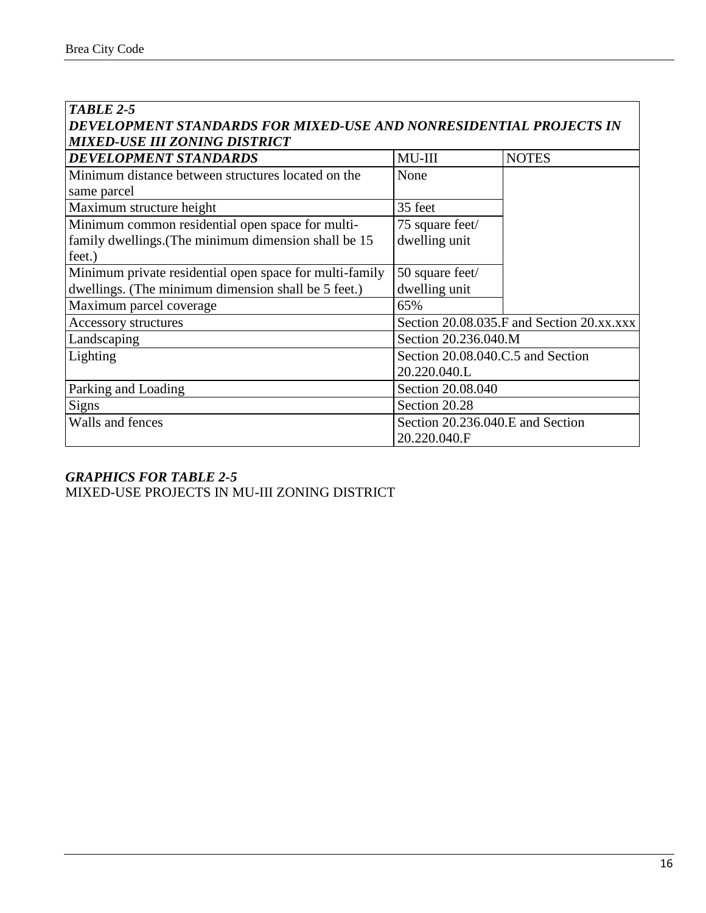| <b>TABLE 2-5</b>                                                   |                                   |                                           |
|--------------------------------------------------------------------|-----------------------------------|-------------------------------------------|
| DEVELOPMENT STANDARDS FOR MIXED-USE AND NONRESIDENTIAL PROJECTS IN |                                   |                                           |
| MIXED-USE III ZONING DISTRICT                                      |                                   |                                           |
| <b>DEVELOPMENT STANDARDS</b>                                       | $MU-III$                          | <b>NOTES</b>                              |
| Minimum distance between structures located on the                 | None                              |                                           |
| same parcel                                                        |                                   |                                           |
| Maximum structure height                                           | 35 feet                           |                                           |
| Minimum common residential open space for multi-                   | 75 square feet/                   |                                           |
| family dwellings. (The minimum dimension shall be 15               | dwelling unit                     |                                           |
| feet.)                                                             |                                   |                                           |
| Minimum private residential open space for multi-family            | 50 square feet/                   |                                           |
| dwellings. (The minimum dimension shall be 5 feet.)                | dwelling unit                     |                                           |
| Maximum parcel coverage                                            | 65%                               |                                           |
| Accessory structures                                               |                                   | Section 20.08.035.F and Section 20.xx.xxx |
| Landscaping                                                        | Section 20.236.040.M              |                                           |
| Lighting                                                           | Section 20.08.040.C.5 and Section |                                           |
|                                                                    | 20.220.040.L                      |                                           |
| Parking and Loading                                                | Section 20.08.040                 |                                           |
| <b>Signs</b>                                                       | Section 20.28                     |                                           |
| Walls and fences                                                   | Section 20.236.040.E and Section  |                                           |
|                                                                    | 20.220.040.F                      |                                           |

MIXED-USE PROJECTS IN MU-III ZONING DISTRICT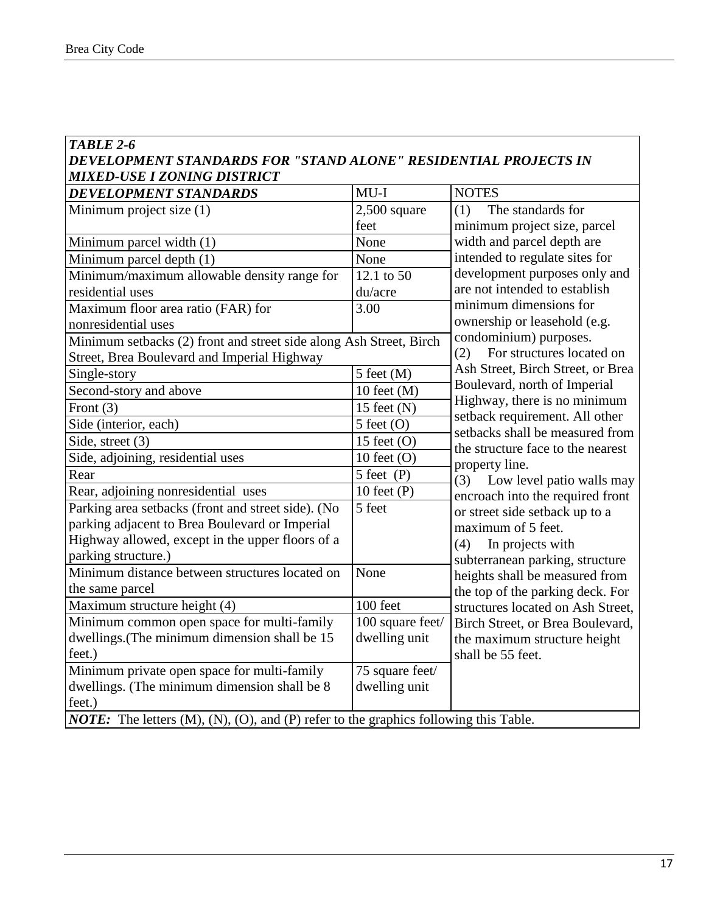#### *TABLE 2-6 DEVELOPMENT STANDARDS FOR "STAND ALONE" RESIDENTIAL PROJECTS IN MIXED-USE I ZONING DISTRICT*

| <b>DEVELOPMENT STANDARDS</b>                                                                           | $MU-I$           | <b>NOTES</b>                                                      |  |
|--------------------------------------------------------------------------------------------------------|------------------|-------------------------------------------------------------------|--|
| Minimum project size (1)                                                                               | $2,500$ square   | (1)<br>The standards for                                          |  |
|                                                                                                        | feet             | minimum project size, parcel                                      |  |
| Minimum parcel width (1)                                                                               | None             | width and parcel depth are                                        |  |
| Minimum parcel depth (1)                                                                               | None             | intended to regulate sites for                                    |  |
| Minimum/maximum allowable density range for                                                            | 12.1 to 50       | development purposes only and                                     |  |
| residential uses                                                                                       | du/acre          | are not intended to establish                                     |  |
| Maximum floor area ratio (FAR) for                                                                     | 3.00             | minimum dimensions for                                            |  |
| nonresidential uses                                                                                    |                  | ownership or leasehold (e.g.                                      |  |
| Minimum setbacks (2) front and street side along Ash Street, Birch                                     |                  | condominium) purposes.                                            |  |
| Street, Brea Boulevard and Imperial Highway                                                            |                  | For structures located on<br>(2)                                  |  |
| Single-story                                                                                           | $5$ feet $(M)$   | Ash Street, Birch Street, or Brea                                 |  |
| Second-story and above                                                                                 | 10 feet $(M)$    | Boulevard, north of Imperial                                      |  |
| Front $(3)$                                                                                            | 15 feet $(N)$    | Highway, there is no minimum                                      |  |
| Side (interior, each)                                                                                  | $5$ feet $(O)$   | setback requirement. All other<br>setbacks shall be measured from |  |
| Side, street (3)                                                                                       | 15 feet $(O)$    | the structure face to the nearest                                 |  |
| Side, adjoining, residential uses                                                                      | 10 feet $(O)$    | property line.                                                    |  |
| Rear                                                                                                   | $5$ feet $(P)$   | Low level patio walls may<br>(3)                                  |  |
| Rear, adjoining nonresidential uses                                                                    | 10 feet $(P)$    | encroach into the required front                                  |  |
| Parking area setbacks (front and street side). (No                                                     | 5 feet           | or street side setback up to a                                    |  |
| parking adjacent to Brea Boulevard or Imperial                                                         |                  | maximum of 5 feet.                                                |  |
| Highway allowed, except in the upper floors of a                                                       |                  | (4)<br>In projects with                                           |  |
| parking structure.)                                                                                    |                  | subterranean parking, structure                                   |  |
| Minimum distance between structures located on                                                         | None             | heights shall be measured from                                    |  |
| the same parcel                                                                                        |                  | the top of the parking deck. For                                  |  |
| Maximum structure height (4)                                                                           | 100 feet         | structures located on Ash Street,                                 |  |
| Minimum common open space for multi-family                                                             | 100 square feet/ | Birch Street, or Brea Boulevard,                                  |  |
| dwellings.(The minimum dimension shall be 15                                                           | dwelling unit    | the maximum structure height                                      |  |
| feet.)                                                                                                 |                  | shall be 55 feet.                                                 |  |
| Minimum private open space for multi-family                                                            | 75 square feet/  |                                                                   |  |
| dwellings. (The minimum dimension shall be 8                                                           | dwelling unit    |                                                                   |  |
| feet.)                                                                                                 |                  |                                                                   |  |
| <b>NOTE:</b> The letters $(M)$ , $(N)$ , $(O)$ , and $(P)$ refer to the graphics following this Table. |                  |                                                                   |  |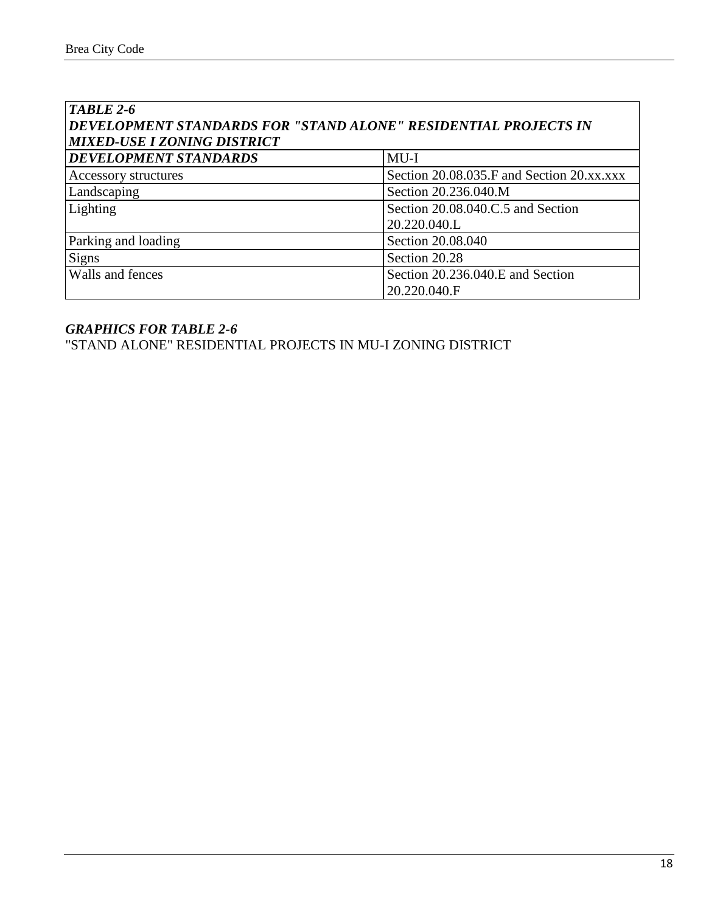| TABLE 2-6<br>DEVELOPMENT STANDARDS FOR "STAND ALONE" RESIDENTIAL PROJECTS IN<br><b>MIXED-USE I ZONING DISTRICT</b> |                                           |  |
|--------------------------------------------------------------------------------------------------------------------|-------------------------------------------|--|
| <b>DEVELOPMENT STANDARDS</b>                                                                                       | $MU-I$                                    |  |
| Accessory structures                                                                                               | Section 20.08.035.F and Section 20.xx.xxx |  |
| Landscaping                                                                                                        | Section 20.236.040.M                      |  |
| Lighting                                                                                                           | Section 20.08.040.C.5 and Section         |  |
|                                                                                                                    | 20.220.040.L                              |  |
| Parking and loading                                                                                                | Section 20.08.040                         |  |
| <b>Signs</b>                                                                                                       | Section 20.28                             |  |
| Walls and fences                                                                                                   | Section 20.236.040.E and Section          |  |
|                                                                                                                    | 20.220.040.F                              |  |

"STAND ALONE" RESIDENTIAL PROJECTS IN MU-I ZONING DISTRICT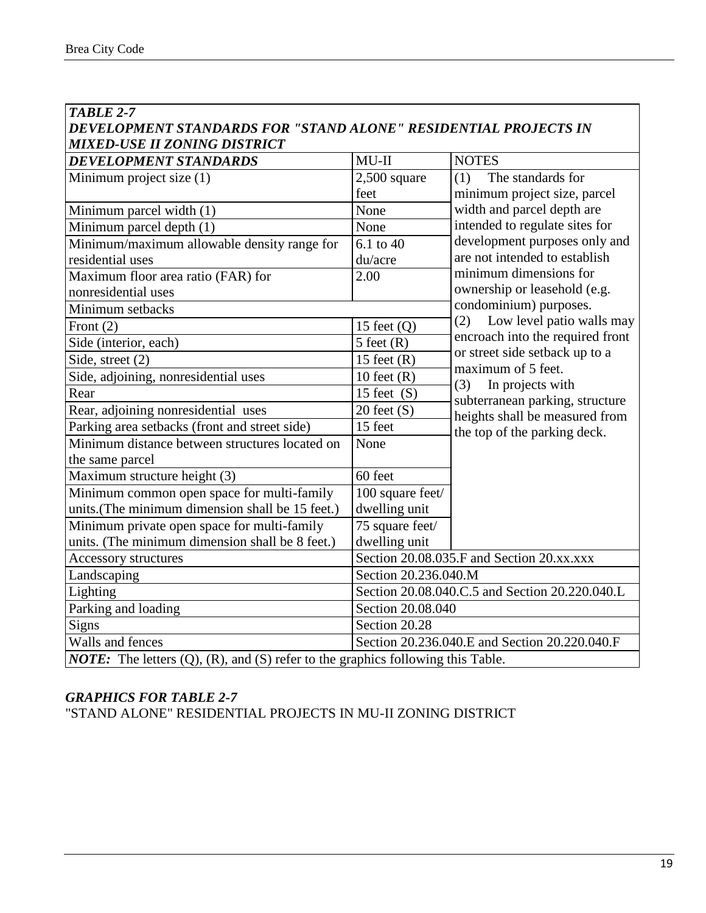| <b>TABLE 2-7</b>                                                                               |                                                |                                                                    |  |  |
|------------------------------------------------------------------------------------------------|------------------------------------------------|--------------------------------------------------------------------|--|--|
| DEVELOPMENT STANDARDS FOR "STAND ALONE" RESIDENTIAL PROJECTS IN                                |                                                |                                                                    |  |  |
| <b>MIXED-USE II ZONING DISTRICT</b>                                                            |                                                |                                                                    |  |  |
| <b>DEVELOPMENT STANDARDS</b>                                                                   | $MU-II$                                        | <b>NOTES</b>                                                       |  |  |
| Minimum project size (1)                                                                       | $2,500$ square                                 | (1)<br>The standards for                                           |  |  |
|                                                                                                | feet                                           | minimum project size, parcel                                       |  |  |
| Minimum parcel width (1)                                                                       | None                                           | width and parcel depth are                                         |  |  |
| Minimum parcel depth (1)                                                                       | None                                           | intended to regulate sites for                                     |  |  |
| Minimum/maximum allowable density range for                                                    | 6.1 to 40                                      | development purposes only and                                      |  |  |
| residential uses                                                                               | du/acre                                        | are not intended to establish                                      |  |  |
| Maximum floor area ratio (FAR) for                                                             | 2.00                                           | minimum dimensions for                                             |  |  |
| nonresidential uses                                                                            |                                                | ownership or leasehold (e.g.                                       |  |  |
| Minimum setbacks                                                                               |                                                | condominium) purposes.                                             |  |  |
| Front $(2)$                                                                                    | 15 feet $(Q)$                                  | Low level patio walls may<br>(2)                                   |  |  |
| Side (interior, each)                                                                          | $5$ feet $(R)$                                 | encroach into the required front<br>or street side setback up to a |  |  |
| Side, street (2)                                                                               | 15 feet $(R)$                                  | maximum of 5 feet.                                                 |  |  |
| Side, adjoining, nonresidential uses                                                           | 10 feet $(R)$                                  | (3)<br>In projects with                                            |  |  |
| Rear                                                                                           | 15 feet $(S)$                                  | subterranean parking, structure                                    |  |  |
| Rear, adjoining nonresidential uses                                                            | $20$ feet $(S)$                                | heights shall be measured from                                     |  |  |
| Parking area setbacks (front and street side)                                                  | 15 feet                                        | the top of the parking deck.                                       |  |  |
| Minimum distance between structures located on<br>the same parcel                              | None                                           |                                                                    |  |  |
| Maximum structure height (3)                                                                   | 60 feet                                        |                                                                    |  |  |
| Minimum common open space for multi-family                                                     | 100 square feet/                               |                                                                    |  |  |
| units.(The minimum dimension shall be 15 feet.)                                                | dwelling unit                                  |                                                                    |  |  |
| Minimum private open space for multi-family                                                    | 75 square feet/                                |                                                                    |  |  |
| units. (The minimum dimension shall be 8 feet.)                                                | dwelling unit                                  |                                                                    |  |  |
| Accessory structures                                                                           | Section 20.08.035.F and Section 20.xx.xxx      |                                                                    |  |  |
| Landscaping                                                                                    | Section 20.236.040.M                           |                                                                    |  |  |
| Lighting                                                                                       | Section 20.08.040.C.5 and Section 20.220.040.L |                                                                    |  |  |
| Parking and loading                                                                            | Section 20.08.040                              |                                                                    |  |  |
| Signs                                                                                          | Section 20.28                                  |                                                                    |  |  |
| Walls and fences                                                                               | Section 20.236.040.E and Section 20.220.040.F  |                                                                    |  |  |
| <b>NOTE:</b> The letters $(Q)$ , $(R)$ , and $(S)$ refer to the graphics following this Table. |                                                |                                                                    |  |  |

"STAND ALONE" RESIDENTIAL PROJECTS IN MU-II ZONING DISTRICT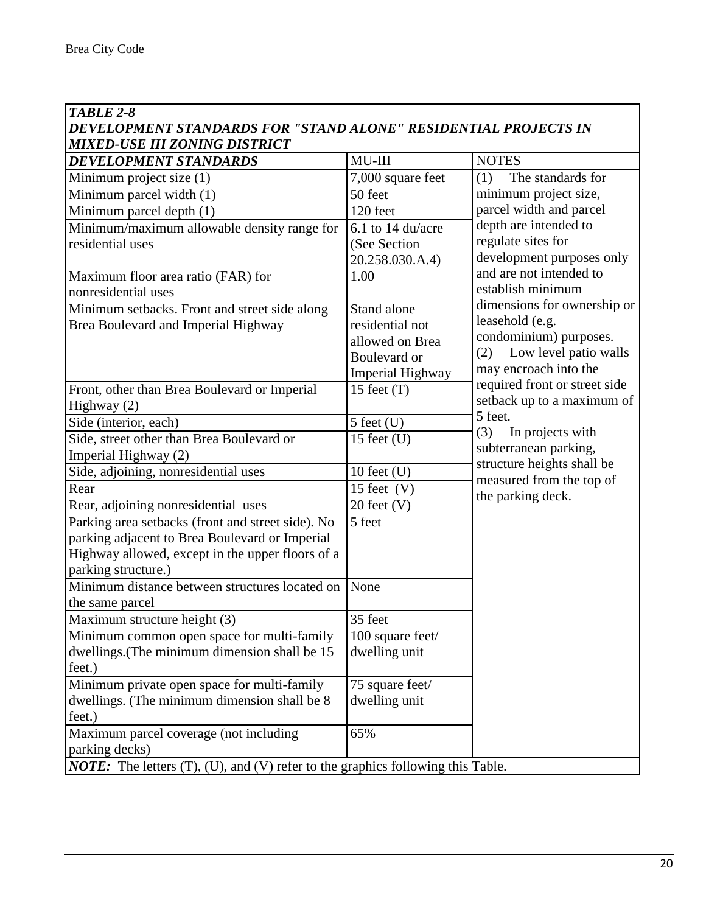| TABLE 2-8                                                                                                                                                                      |                                                                                       |                                                                                                                                   |  |
|--------------------------------------------------------------------------------------------------------------------------------------------------------------------------------|---------------------------------------------------------------------------------------|-----------------------------------------------------------------------------------------------------------------------------------|--|
| DEVELOPMENT STANDARDS FOR "STAND ALONE" RESIDENTIAL PROJECTS IN                                                                                                                |                                                                                       |                                                                                                                                   |  |
| <b>MIXED-USE III ZONING DISTRICT</b>                                                                                                                                           |                                                                                       |                                                                                                                                   |  |
| <b>DEVELOPMENT STANDARDS</b>                                                                                                                                                   | $MU-III$                                                                              | <b>NOTES</b>                                                                                                                      |  |
| Minimum project size (1)                                                                                                                                                       | 7,000 square feet                                                                     | The standards for<br>(1)                                                                                                          |  |
| Minimum parcel width (1)                                                                                                                                                       | 50 feet                                                                               | minimum project size,                                                                                                             |  |
| Minimum parcel depth (1)                                                                                                                                                       | 120 feet                                                                              | parcel width and parcel                                                                                                           |  |
| Minimum/maximum allowable density range for<br>residential uses                                                                                                                | 6.1 to 14 du/acre<br>(See Section<br>20.258.030.A.4)                                  | depth are intended to<br>regulate sites for<br>development purposes only                                                          |  |
| Maximum floor area ratio (FAR) for<br>nonresidential uses                                                                                                                      | 1.00                                                                                  | and are not intended to<br>establish minimum                                                                                      |  |
| Minimum setbacks. Front and street side along<br>Brea Boulevard and Imperial Highway                                                                                           | Stand alone<br>residential not<br>allowed on Brea<br>Boulevard or<br>Imperial Highway | dimensions for ownership or<br>leasehold (e.g.<br>condominium) purposes.<br>Low level patio walls<br>(2)<br>may encroach into the |  |
| Front, other than Brea Boulevard or Imperial<br>Highway (2)                                                                                                                    | 15 feet $(T)$                                                                         | required front or street side<br>setback up to a maximum of                                                                       |  |
| Side (interior, each)                                                                                                                                                          | $5$ feet $(U)$                                                                        | 5 feet.                                                                                                                           |  |
| Side, street other than Brea Boulevard or<br>Imperial Highway (2)                                                                                                              | 15 feet $(U)$                                                                         | (3)<br>In projects with<br>subterranean parking,                                                                                  |  |
| Side, adjoining, nonresidential uses                                                                                                                                           | 10 feet $(U)$                                                                         | structure heights shall be                                                                                                        |  |
| Rear                                                                                                                                                                           | 15 feet $(V)$                                                                         | measured from the top of                                                                                                          |  |
| Rear, adjoining nonresidential uses                                                                                                                                            | $20$ feet $(V)$                                                                       | the parking deck.                                                                                                                 |  |
| Parking area setbacks (front and street side). No<br>parking adjacent to Brea Boulevard or Imperial<br>Highway allowed, except in the upper floors of a<br>parking structure.) | 5 feet                                                                                |                                                                                                                                   |  |
| Minimum distance between structures located on<br>the same parcel                                                                                                              | None                                                                                  |                                                                                                                                   |  |
| Maximum structure height (3)                                                                                                                                                   | 35 feet                                                                               |                                                                                                                                   |  |
| Minimum common open space for multi-family                                                                                                                                     | 100 square feet/                                                                      |                                                                                                                                   |  |
| dwellings.(The minimum dimension shall be 15<br>feet.)                                                                                                                         | dwelling unit                                                                         |                                                                                                                                   |  |
| Minimum private open space for multi-family                                                                                                                                    | 75 square feet/                                                                       |                                                                                                                                   |  |
| dwellings. (The minimum dimension shall be 8<br>feet.)                                                                                                                         | dwelling unit                                                                         |                                                                                                                                   |  |
| Maximum parcel coverage (not including<br>parking decks)                                                                                                                       | 65%                                                                                   |                                                                                                                                   |  |
| <b>NOTE:</b> The letters (T), (U), and (V) refer to the graphics following this Table.                                                                                         |                                                                                       |                                                                                                                                   |  |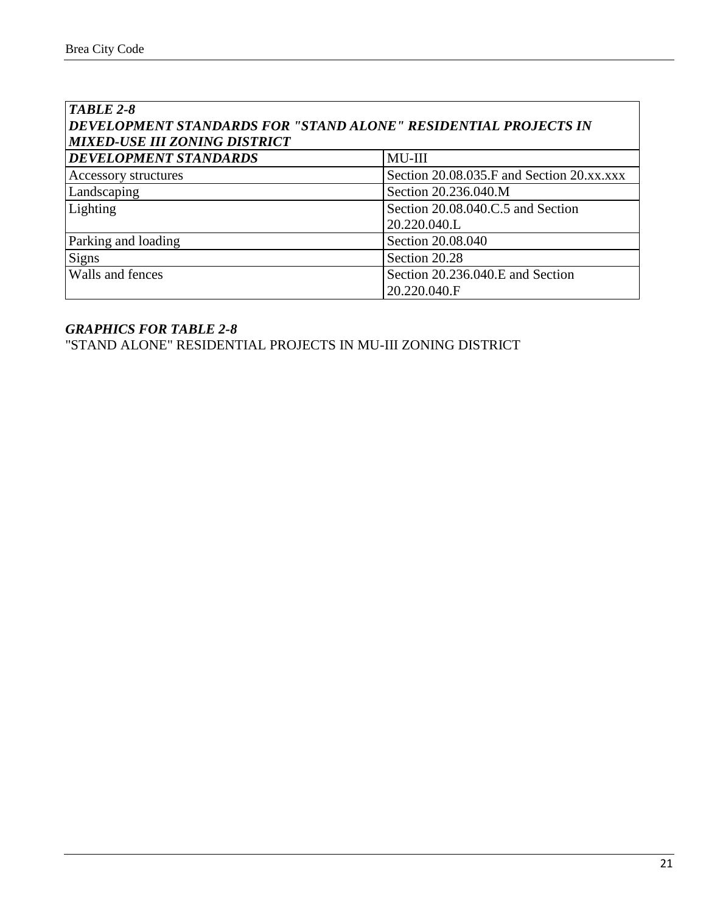| TABLE 2-8<br>DEVELOPMENT STANDARDS FOR "STAND ALONE" RESIDENTIAL PROJECTS IN<br><b>MIXED-USE III ZONING DISTRICT</b> |                                           |  |
|----------------------------------------------------------------------------------------------------------------------|-------------------------------------------|--|
| <b>DEVELOPMENT STANDARDS</b>                                                                                         | MU-III                                    |  |
| Accessory structures                                                                                                 | Section 20.08.035.F and Section 20.xx.xxx |  |
| Landscaping                                                                                                          | Section 20.236.040.M                      |  |
| Lighting                                                                                                             | Section 20.08.040.C.5 and Section         |  |
|                                                                                                                      | 20.220.040.L                              |  |
| Parking and loading                                                                                                  | Section 20.08.040                         |  |
| <b>Signs</b>                                                                                                         | Section 20.28                             |  |
| Walls and fences                                                                                                     | Section 20.236.040.E and Section          |  |
|                                                                                                                      | 20.220.040.F                              |  |

"STAND ALONE" RESIDENTIAL PROJECTS IN MU-III ZONING DISTRICT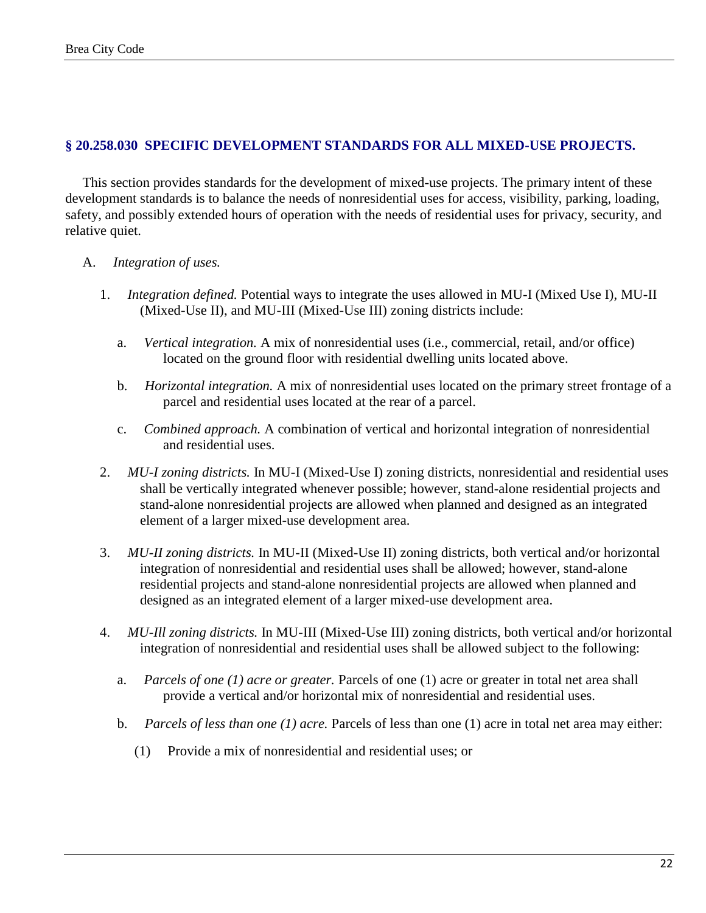### **§ 20.258.030 SPECIFIC DEVELOPMENT STANDARDS FOR ALL MIXED-USE PROJECTS.**

This section provides standards for the development of mixed-use projects. The primary intent of these development standards is to balance the needs of nonresidential uses for access, visibility, parking, loading, safety, and possibly extended hours of operation with the needs of residential uses for privacy, security, and relative quiet.

- A. *Integration of uses.*
	- 1. *Integration defined.* Potential ways to integrate the uses allowed in MU-I (Mixed Use I), MU-II (Mixed-Use II), and MU-III (Mixed-Use III) zoning districts include:
		- a. *Vertical integration.* A mix of nonresidential uses (i.e., commercial, retail, and/or office) located on the ground floor with residential dwelling units located above.
		- b. *Horizontal integration.* A mix of nonresidential uses located on the primary street frontage of a parcel and residential uses located at the rear of a parcel.
		- c. *Combined approach.* A combination of vertical and horizontal integration of nonresidential and residential uses.
	- 2. *MU-I zoning districts.* In MU-I (Mixed-Use I) zoning districts, nonresidential and residential uses shall be vertically integrated whenever possible; however, stand-alone residential projects and stand-alone nonresidential projects are allowed when planned and designed as an integrated element of a larger mixed-use development area.
	- 3. *MU-II zoning districts.* In MU-II (Mixed-Use II) zoning districts, both vertical and/or horizontal integration of nonresidential and residential uses shall be allowed; however, stand-alone residential projects and stand-alone nonresidential projects are allowed when planned and designed as an integrated element of a larger mixed-use development area.
	- 4. *MU-Ill zoning districts.* In MU-III (Mixed-Use III) zoning districts, both vertical and/or horizontal integration of nonresidential and residential uses shall be allowed subject to the following:
		- a. *Parcels of one (1) acre or greater.* Parcels of one (1) acre or greater in total net area shall provide a vertical and/or horizontal mix of nonresidential and residential uses.
		- b. *Parcels of less than one (1) acre.* Parcels of less than one (1) acre in total net area may either:
			- (1) Provide a mix of nonresidential and residential uses; or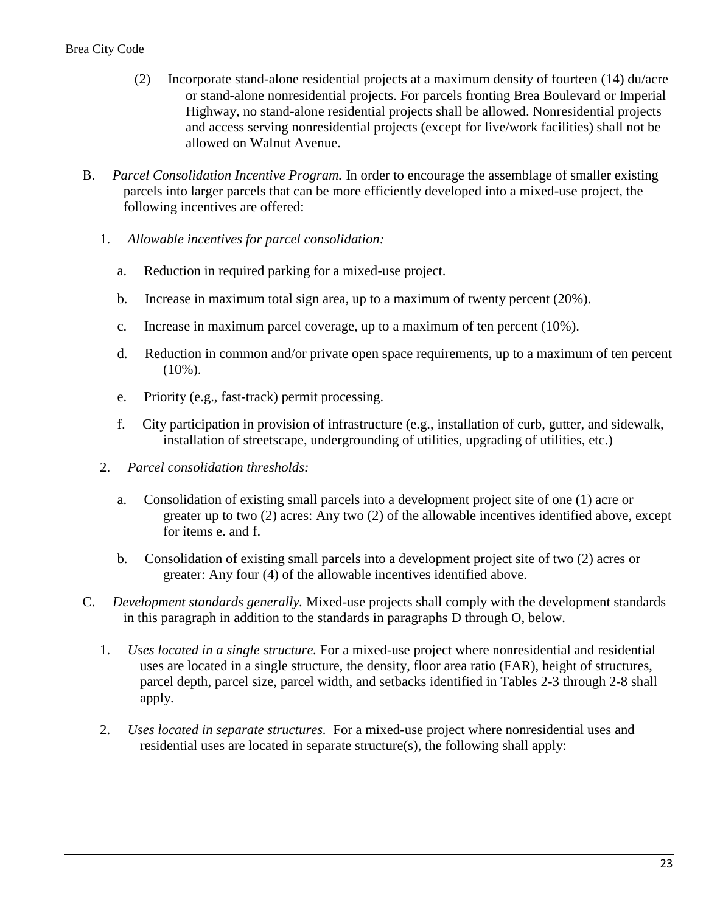- (2) Incorporate stand-alone residential projects at a maximum density of fourteen (14) du/acre or stand-alone nonresidential projects. For parcels fronting Brea Boulevard or Imperial Highway, no stand-alone residential projects shall be allowed. Nonresidential projects and access serving nonresidential projects (except for live/work facilities) shall not be allowed on Walnut Avenue.
- B. *Parcel Consolidation Incentive Program.* In order to encourage the assemblage of smaller existing parcels into larger parcels that can be more efficiently developed into a mixed-use project, the following incentives are offered:
	- 1. *Allowable incentives for parcel consolidation:*
		- a. Reduction in required parking for a mixed-use project.
		- b. Increase in maximum total sign area, up to a maximum of twenty percent (20%).
		- c. Increase in maximum parcel coverage, up to a maximum of ten percent (10%).
		- d. Reduction in common and/or private open space requirements, up to a maximum of ten percent  $(10\%)$ .
		- e. Priority (e.g., fast-track) permit processing.
		- f. City participation in provision of infrastructure (e.g., installation of curb, gutter, and sidewalk, installation of streetscape, undergrounding of utilities, upgrading of utilities, etc.)
	- 2. *Parcel consolidation thresholds:*
		- a. Consolidation of existing small parcels into a development project site of one (1) acre or greater up to two (2) acres: Any two (2) of the allowable incentives identified above, except for items e. and f.
		- b. Consolidation of existing small parcels into a development project site of two (2) acres or greater: Any four (4) of the allowable incentives identified above.
- C. *Development standards generally.* Mixed-use projects shall comply with the development standards in this paragraph in addition to the standards in paragraphs D through O, below.
	- 1. *Uses located in a single structure.* For a mixed-use project where nonresidential and residential uses are located in a single structure, the density, floor area ratio (FAR), height of structures, parcel depth, parcel size, parcel width, and setbacks identified in Tables 2-3 through 2-8 shall apply.
	- 2. *Uses located in separate structures.* For a mixed-use project where nonresidential uses and residential uses are located in separate structure(s), the following shall apply: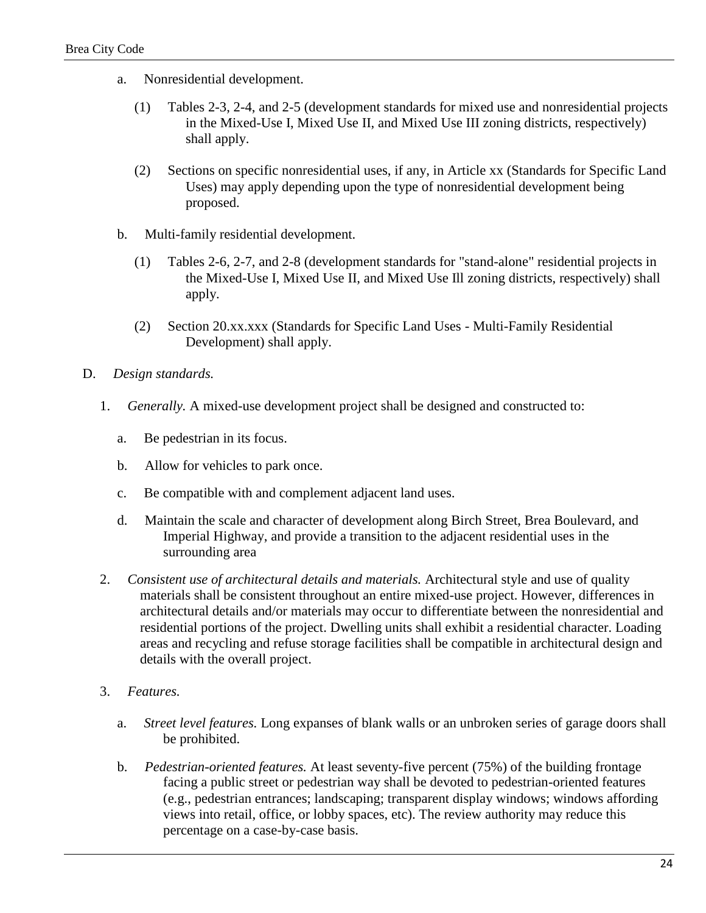- a. Nonresidential development.
	- (1) Tables 2-3, 2-4, and 2-5 (development standards for mixed use and nonresidential projects in the Mixed-Use I, Mixed Use II, and Mixed Use III zoning districts, respectively) shall apply.
	- (2) Sections on specific nonresidential uses, if any, in Article xx (Standards for Specific Land Uses) may apply depending upon the type of nonresidential development being proposed.
- b. Multi-family residential development.
	- (1) Tables 2-6, 2-7, and 2-8 (development standards for "stand-alone" residential projects in the Mixed-Use I, Mixed Use II, and Mixed Use Ill zoning districts, respectively) shall apply.
	- (2) Section 20.xx.xxx (Standards for Specific Land Uses Multi-Family Residential Development) shall apply.
- D. *Design standards.*
	- 1. *Generally.* A mixed-use development project shall be designed and constructed to:
		- a. Be pedestrian in its focus.
		- b. Allow for vehicles to park once.
		- c. Be compatible with and complement adjacent land uses.
		- d. Maintain the scale and character of development along Birch Street, Brea Boulevard, and Imperial Highway, and provide a transition to the adjacent residential uses in the surrounding area
	- 2. *Consistent use of architectural details and materials.* Architectural style and use of quality materials shall be consistent throughout an entire mixed-use project. However, differences in architectural details and/or materials may occur to differentiate between the nonresidential and residential portions of the project. Dwelling units shall exhibit a residential character. Loading areas and recycling and refuse storage facilities shall be compatible in architectural design and details with the overall project.
	- 3. *Features.*
		- a. *Street level features.* Long expanses of blank walls or an unbroken series of garage doors shall be prohibited.
		- b. *Pedestrian-oriented features.* At least seventy-five percent (75%) of the building frontage facing a public street or pedestrian way shall be devoted to pedestrian-oriented features (e.g., pedestrian entrances; landscaping; transparent display windows; windows affording views into retail, office, or lobby spaces, etc). The review authority may reduce this percentage on a case-by-case basis.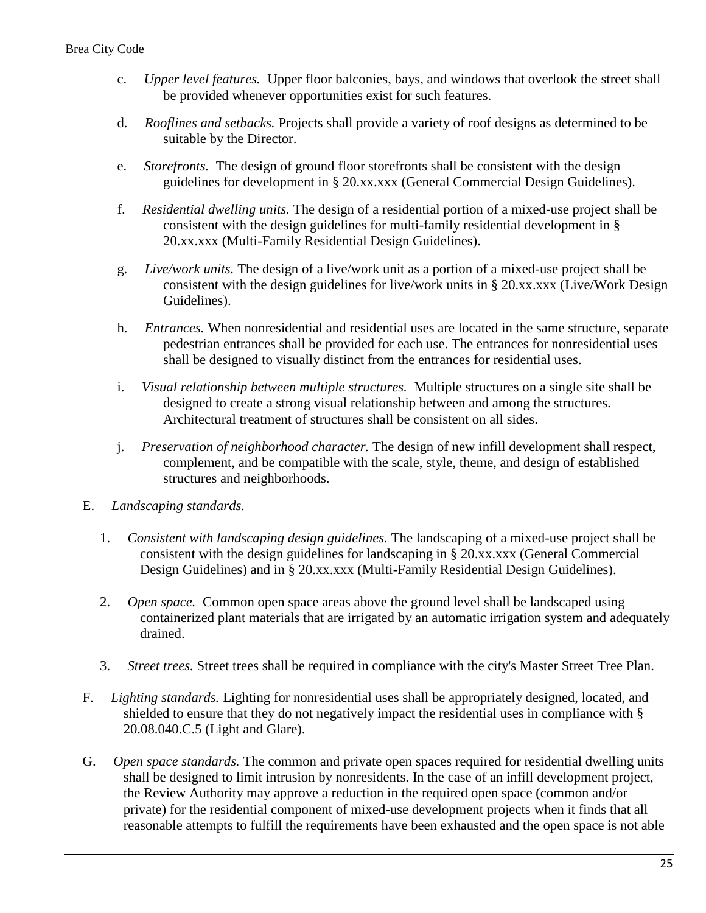- c. *Upper level features.* Upper floor balconies, bays, and windows that overlook the street shall be provided whenever opportunities exist for such features.
- d. *Rooflines and setbacks.* Projects shall provide a variety of roof designs as determined to be suitable by the Director.
- e. *Storefronts.* The design of ground floor storefronts shall be consistent with the design guidelines for development in § 20.xx.xxx (General Commercial Design Guidelines).
- f. *Residential dwelling units.* The design of a residential portion of a mixed-use project shall be consistent with the design guidelines for multi-family residential development in § 20.xx.xxx (Multi-Family Residential Design Guidelines).
- g. *Live/work units.* The design of a live/work unit as a portion of a mixed-use project shall be consistent with the design guidelines for live/work units in § 20.xx.xxx (Live/Work Design Guidelines).
- h. *Entrances.* When nonresidential and residential uses are located in the same structure, separate pedestrian entrances shall be provided for each use. The entrances for nonresidential uses shall be designed to visually distinct from the entrances for residential uses.
- i. *Visual relationship between multiple structures.* Multiple structures on a single site shall be designed to create a strong visual relationship between and among the structures. Architectural treatment of structures shall be consistent on all sides.
- j. *Preservation of neighborhood character.* The design of new infill development shall respect, complement, and be compatible with the scale, style, theme, and design of established structures and neighborhoods.
- E. *Landscaping standards.*
	- 1. *Consistent with landscaping design guidelines.* The landscaping of a mixed-use project shall be consistent with the design guidelines for landscaping in § 20.xx.xxx (General Commercial Design Guidelines) and in § 20.xx.xxx (Multi-Family Residential Design Guidelines).
	- 2. *Open space.* Common open space areas above the ground level shall be landscaped using containerized plant materials that are irrigated by an automatic irrigation system and adequately drained.
	- 3. *Street trees.* Street trees shall be required in compliance with the city's Master Street Tree Plan.
- F. *Lighting standards.* Lighting for nonresidential uses shall be appropriately designed, located, and shielded to ensure that they do not negatively impact the residential uses in compliance with § 20.08.040.C.5 (Light and Glare).
- G. *Open space standards.* The common and private open spaces required for residential dwelling units shall be designed to limit intrusion by nonresidents. In the case of an infill development project, the Review Authority may approve a reduction in the required open space (common and/or private) for the residential component of mixed-use development projects when it finds that all reasonable attempts to fulfill the requirements have been exhausted and the open space is not able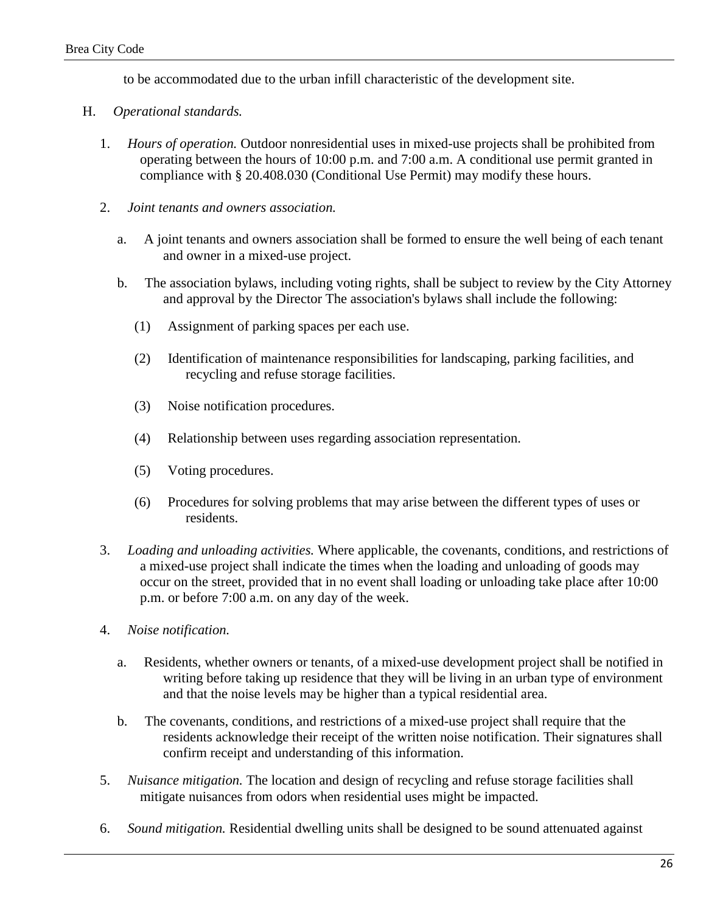to be accommodated due to the urban infill characteristic of the development site.

- H. *Operational standards.*
	- 1. *Hours of operation.* Outdoor nonresidential uses in mixed-use projects shall be prohibited from operating between the hours of 10:00 p.m. and 7:00 a.m. A conditional use permit granted in compliance with § 20.408.030 (Conditional Use Permit) may modify these hours.
	- 2. *Joint tenants and owners association.*
		- a. A joint tenants and owners association shall be formed to ensure the well being of each tenant and owner in a mixed-use project.
		- b. The association bylaws, including voting rights, shall be subject to review by the City Attorney and approval by the Director The association's bylaws shall include the following:
			- (1) Assignment of parking spaces per each use.
			- (2) Identification of maintenance responsibilities for landscaping, parking facilities, and recycling and refuse storage facilities.
			- (3) Noise notification procedures.
			- (4) Relationship between uses regarding association representation.
			- (5) Voting procedures.
			- (6) Procedures for solving problems that may arise between the different types of uses or residents.
	- 3. *Loading and unloading activities.* Where applicable, the covenants, conditions, and restrictions of a mixed-use project shall indicate the times when the loading and unloading of goods may occur on the street, provided that in no event shall loading or unloading take place after 10:00 p.m. or before 7:00 a.m. on any day of the week.
	- 4. *Noise notification.*
		- a. Residents, whether owners or tenants, of a mixed-use development project shall be notified in writing before taking up residence that they will be living in an urban type of environment and that the noise levels may be higher than a typical residential area.
		- b. The covenants, conditions, and restrictions of a mixed-use project shall require that the residents acknowledge their receipt of the written noise notification. Their signatures shall confirm receipt and understanding of this information.
	- 5. *Nuisance mitigation.* The location and design of recycling and refuse storage facilities shall mitigate nuisances from odors when residential uses might be impacted.
	- 6. *Sound mitigation.* Residential dwelling units shall be designed to be sound attenuated against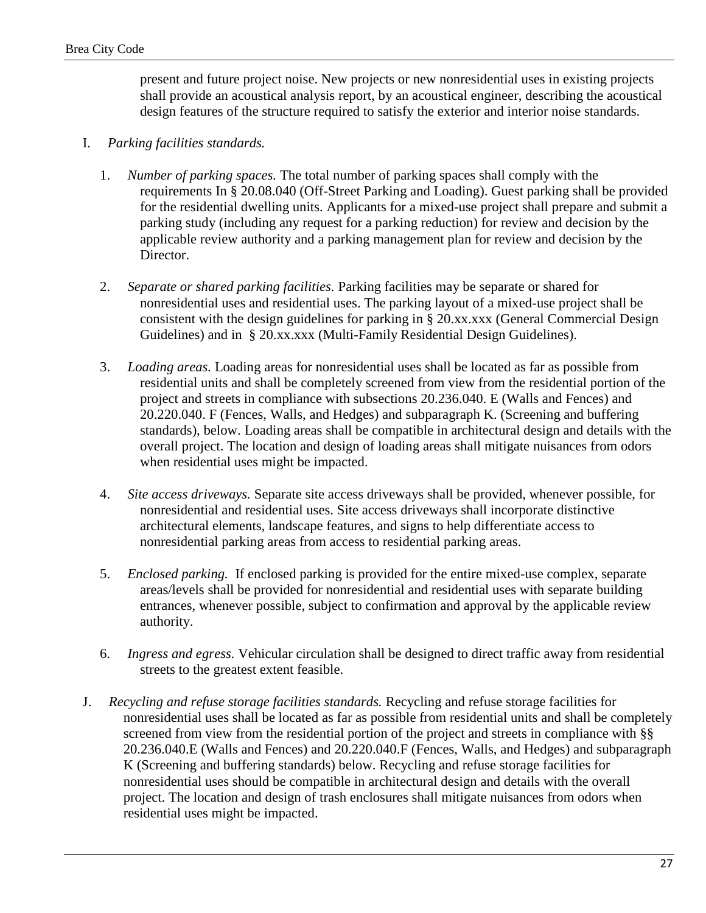present and future project noise. New projects or new nonresidential uses in existing projects shall provide an acoustical analysis report, by an acoustical engineer, describing the acoustical design features of the structure required to satisfy the exterior and interior noise standards.

- I. *Parking facilities standards.*
	- 1. *Number of parking spaces.* The total number of parking spaces shall comply with the requirements In § 20.08.040 (Off-Street Parking and Loading). Guest parking shall be provided for the residential dwelling units. Applicants for a mixed-use project shall prepare and submit a parking study (including any request for a parking reduction) for review and decision by the applicable review authority and a parking management plan for review and decision by the Director.
	- 2. *Separate or shared parking facilities.* Parking facilities may be separate or shared for nonresidential uses and residential uses. The parking layout of a mixed-use project shall be consistent with the design guidelines for parking in § 20.xx.xxx (General Commercial Design Guidelines) and in § 20.xx.xxx (Multi-Family Residential Design Guidelines).
	- 3. *Loading areas.* Loading areas for nonresidential uses shall be located as far as possible from residential units and shall be completely screened from view from the residential portion of the project and streets in compliance with subsections 20.236.040. E (Walls and Fences) and 20.220.040. F (Fences, Walls, and Hedges) and subparagraph K. (Screening and buffering standards), below. Loading areas shall be compatible in architectural design and details with the overall project. The location and design of loading areas shall mitigate nuisances from odors when residential uses might be impacted.
	- 4. *Site access driveways.* Separate site access driveways shall be provided, whenever possible, for nonresidential and residential uses. Site access driveways shall incorporate distinctive architectural elements, landscape features, and signs to help differentiate access to nonresidential parking areas from access to residential parking areas.
	- 5. *Enclosed parking.* If enclosed parking is provided for the entire mixed-use complex, separate areas/levels shall be provided for nonresidential and residential uses with separate building entrances, whenever possible, subject to confirmation and approval by the applicable review authority.
	- 6. *Ingress and egress.* Vehicular circulation shall be designed to direct traffic away from residential streets to the greatest extent feasible.
- J. *Recycling and refuse storage facilities standards.* Recycling and refuse storage facilities for nonresidential uses shall be located as far as possible from residential units and shall be completely screened from view from the residential portion of the project and streets in compliance with §§ 20.236.040.E (Walls and Fences) and 20.220.040.F (Fences, Walls, and Hedges) and subparagraph K (Screening and buffering standards) below. Recycling and refuse storage facilities for nonresidential uses should be compatible in architectural design and details with the overall project. The location and design of trash enclosures shall mitigate nuisances from odors when residential uses might be impacted.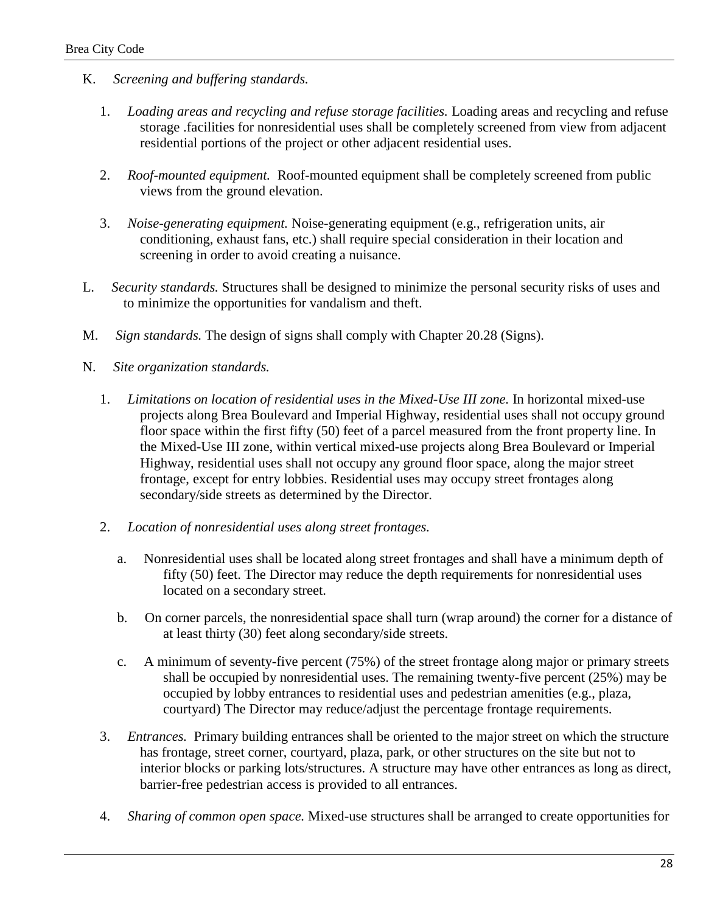- K. *Screening and buffering standards.*
	- 1. *Loading areas and recycling and refuse storage facilities.* Loading areas and recycling and refuse storage .facilities for nonresidential uses shall be completely screened from view from adjacent residential portions of the project or other adjacent residential uses.
	- 2. *Roof-mounted equipment.* Roof-mounted equipment shall be completely screened from public views from the ground elevation.
	- 3. *Noise-generating equipment.* Noise-generating equipment (e.g., refrigeration units, air conditioning, exhaust fans, etc.) shall require special consideration in their location and screening in order to avoid creating a nuisance.
- L. *Security standards.* Structures shall be designed to minimize the personal security risks of uses and to minimize the opportunities for vandalism and theft.
- M. *Sign standards.* The design of signs shall comply with Chapter 20.28 (Signs).
- N. *Site organization standards.*
	- 1. *Limitations on location of residential uses in the Mixed-Use III zone.* In horizontal mixed-use projects along Brea Boulevard and Imperial Highway, residential uses shall not occupy ground floor space within the first fifty (50) feet of a parcel measured from the front property line. In the Mixed-Use III zone, within vertical mixed-use projects along Brea Boulevard or Imperial Highway, residential uses shall not occupy any ground floor space, along the major street frontage, except for entry lobbies. Residential uses may occupy street frontages along secondary/side streets as determined by the Director.
	- 2. *Location of nonresidential uses along street frontages.*
		- a. Nonresidential uses shall be located along street frontages and shall have a minimum depth of fifty (50) feet. The Director may reduce the depth requirements for nonresidential uses located on a secondary street.
		- b. On corner parcels, the nonresidential space shall turn (wrap around) the corner for a distance of at least thirty (30) feet along secondary/side streets.
		- c. A minimum of seventy-five percent (75%) of the street frontage along major or primary streets shall be occupied by nonresidential uses. The remaining twenty-five percent (25%) may be occupied by lobby entrances to residential uses and pedestrian amenities (e.g., plaza, courtyard) The Director may reduce/adjust the percentage frontage requirements.
	- 3. *Entrances.* Primary building entrances shall be oriented to the major street on which the structure has frontage, street corner, courtyard, plaza, park, or other structures on the site but not to interior blocks or parking lots/structures. A structure may have other entrances as long as direct, barrier-free pedestrian access is provided to all entrances.
	- 4. *Sharing of common open space.* Mixed-use structures shall be arranged to create opportunities for